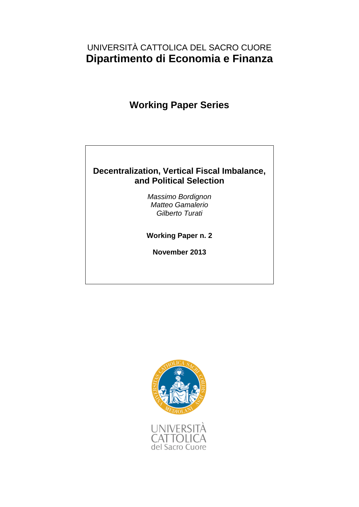# UNIVERSITÀ CATTOLICA DEL SACRO CUORE **Dipartimento di Economia e Finanza**

# **Working Paper Series**

# **Decentralization, Vertical Fiscal Imbalance, and Political Selection**

*Massimo Bordignon Matteo Gamalerio Gilberto Turati*

**Working Paper n. 2**

**November 2013**

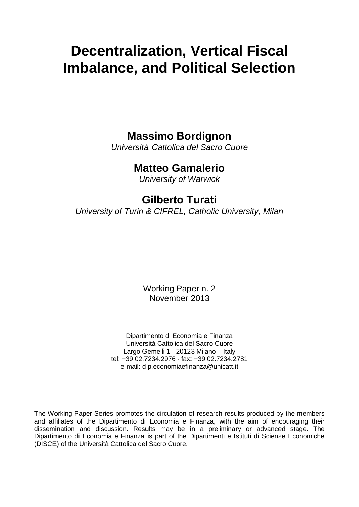# **Decentralization, Vertical Fiscal Imbalance, and Political Selection**

# **Massimo Bordignon**

*Università Cattolica del Sacro Cuore*

# **Matteo Gamalerio**

*University of Warwick*

# **Gilberto Turati**

*University of Turin & CIFREL, Catholic University, Milan*

Working Paper n. 2 November 2013

Dipartimento di Economia e Finanza Università Cattolica del Sacro Cuore Largo Gemelli 1 - 20123 Milano – Italy tel: +39.02.7234.2976 - fax: +39.02.7234.2781 e-mail: dip.economiaefinanza@unicatt.it

The Working Paper Series promotes the circulation of research results produced by the members and affiliates of the Dipartimento di Economia e Finanza, with the aim of encouraging their dissemination and discussion. Results may be in a preliminary or advanced stage. The Dipartimento di Economia e Finanza is part of the Dipartimenti e Istituti di Scienze Economiche (DISCE) of the Università Cattolica del Sacro Cuore.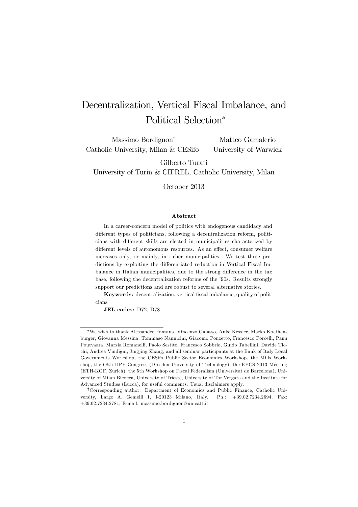# Decentralization, Vertical Fiscal Imbalance, and Political Selection<sup>∗</sup>

Massimo Bordignon† Catholic University, Milan & CESifo

Matteo Gamalerio University of Warwick

Gilberto Turati

University of Turin & CIFREL, Catholic University, Milan

October 2013

#### Abstract

In a career-concern model of politics with endogenous candidacy and different types of politicians, following a decentralization reform, politicians with different skills are elected in municipalities characterized by different levels of autonomous resources. As an effect, consumer welfare increases only, or mainly, in richer municipalities. We test these predictions by exploiting the differentiated reduction in Vertical Fiscal Imbalance in Italian municipalities, due to the strong difference in the tax base, following the decentralization reforms of the '90s. Results strongly support our predictions and are robust to several alternative stories.

Keywords: decentralization, vertical fiscal imbalance, quality of politicians

JEL codes: D72, D78

<sup>∗</sup>We wish to thank Alessandro Fontana, Vincenzo Galasso, Anke Kessler, Marko Koethenburger, Giovanna Messina, Tommaso Nannicini, Giacomo Ponzetto, Francesco Porcelli, Panu Poutvaara, Marzia Romanelli, Paolo Sestito, Francesco Sobbrio, Guido Tabellini, Davide Ticchi, Andrea Vindigni, Jingjing Zhang, and all seminar participants at the Bank of Italy Local Governments Workshop, the CESifo Public Sector Economics Workshop, the Mills Workshop, the 68th IIPF Congress (Dresden University of Technology), the EPCS 2013 Meeting (ETH-KOF, Zurich), the 5th Workshop on Fiscal Federalism (Universitat de Barcelona), University of Milan Bicocca, University of Trieste, University of Tor Vergata and the Institute for Advanced Studies (Lucca), for useful comments. Usual disclaimers apply.

<sup>†</sup>Corresponding author: Department of Economics and Public Finance, Catholic University, Largo A. Gemelli 1, I-20123 Milano, Italy. Ph.: +39.02.7234.2694; Fax: +39.02.7234.2781; E-mail: massimo.bordignon@unicatt.it.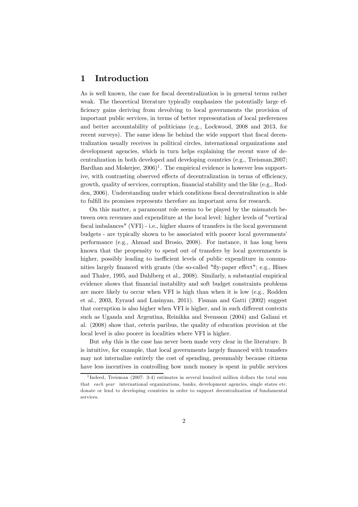# 1 Introduction

As is well known, the case for fiscal decentralization is in general terms rather weak. The theoretical literature typically emphasizes the potentially large efficiency gains deriving from devolving to local governments the provision of important public services, in terms of better representation of local preferences and better accountability of politicians (e.g., Lockwood, 2008 and 2013, for recent surveys). The same ideas lie behind the wide support that fiscal decentralization usually receives in political circles, international organizations and development agencies, which in turn helps explaining the recent wave of decentralization in both developed and developing countries (e.g., Treisman,2007; Bardhan and Mokerjee,  $2006$ <sup>1</sup>. The empirical evidence is however less supportive, with contrasting observed effects of decentralization in terms of efficiency, growth, quality of services, corruption, financial stability and the like (e.g., Rodden, 2006). Understanding under which conditions fiscal decentralization is able to fulfill its promises represents therefore an important area for research.

On this matter, a paramount role seems to be played by the mismatch between own revenues and expenditure at the local level: higher levels of "vertical fiscal imbalances" (VFI) - i.e., higher shares of transfers in the local government budgets - are typically shown to be associated with poorer local governments' performance (e.g., Ahmad and Brosio, 2008). For instance, it has long been known that the propensity to spend out of transfers by local governments is higher, possibly leading to inefficient levels of public expenditure in communities largely financed with grants (the so-called "fly-paper effect"; e.g., Hines and Thaler, 1995, and Dahlberg et al., 2008). Similarly, a substantial empirical evidence shows that financial instability and soft budget constraints problems are more likely to occur when VFI is high than when it is low (e.g., Rodden et al., 2003, Eyraud and Lusinyan, 2011). Fisman and Gatti (2002) suggest that corruption is also higher when VFI is higher, and in such different contexts such as Uganda and Argentina, Reinikka and Svensson (2004) and Galiani et al. (2008) show that, ceteris paribus, the quality of education provision at the local level is also poorer in localities where VFI is higher.

But why this is the case has never been made very clear in the literature. It is intuitive, for example, that local governments largely financed with transfers may not internalize entirely the cost of spending, presumably because citizens have less incentives in controlling how much money is spent in public services

<sup>&</sup>lt;sup>1</sup>Indeed, Treisman (2007: 3-4) estimates in several hundred million dollars the total sum that each year international organizations, banks, development agencies, single states etc. donate or lend to developing countries in order to support decentralization of fundamental services.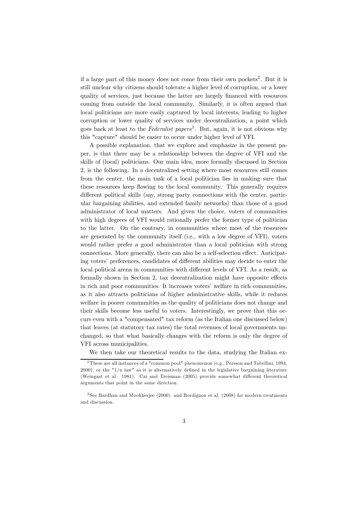if a large part of this money does not come from their own pockets<sup>2</sup>. But it is still unclear why citizens should tolerate a higher level of corruption, or a lower quality of services, just because the latter are largely financed with resources coming from outside the local community. Similarly, it is often argued that local politicians are more easily captured by local interests, leading to higher corruption or lower quality of services under decentralization, a point which goes back at least to the Federalist papers<sup>3</sup>. But, again, it is not obvious why this "capture" should be easier to occur under higher level of VFI.

A possible explanation, that we explore and emphasize in the present paper, is that there may be a relationship between the degree of VFI and the skills of (local) politicians. Our main idea, more formally discussed in Section 2, is the following. In a decentralized setting where most resources still comes from the center, the main task of a local politician lies in making sure that these resources keep flowing to the local community. This generally requires different political skills (say, strong party connections with the center, particular bargaining abilities, and extended family networks) than those of a good administrator of local matters. And given the choice, voters of communities with high degrees of VFI would rationally prefer the former type of politician to the latter. On the contrary, in communities where most of the resources are generated by the community itself (i.e., with a low degree of VFI), voters would rather prefer a good administrator than a local politician with strong connections. More generally, there can also be a self-selection effect. Anticipating voters' preferences, candidates of different abilities may decide to enter the local political arena in communities with different levels of VFI. As a result, as formally shown in Section 2, tax decentralization might have opposite effects in rich and poor communities. It increases voters' welfare in rich communities, as it also attracts politicians of higher administrative skills, while it reduces welfare in poorer communities as the quality of politicians does not change and their skills become less useful to voters. Interestingly, we prove that this occurs even with a "compensated" tax reform (as the Italian one discussed below) that leaves (at statutory tax rates) the total revenues of local governments unchanged, so that what basically changes with the reform is only the degree of VFI across municipalities.

We then take our theoretical results to the data, studying the Italian ex-

<sup>2</sup>These are all instances of a "common pool" phenomenon (e.g., Persson and Tabellini, 1994,  $2000$ , or the " $1/n$  law" as it is alternatively defined in the legislative bargaining literature (Weingast et al. 1981). Cai and Treisman (2005) provide somewhat different theoretical arguments that point in the same direction.

<sup>3</sup> See Bardhan and Mookherjee (2000) and Bordignon et al. (2008) for modern treatments and discussion.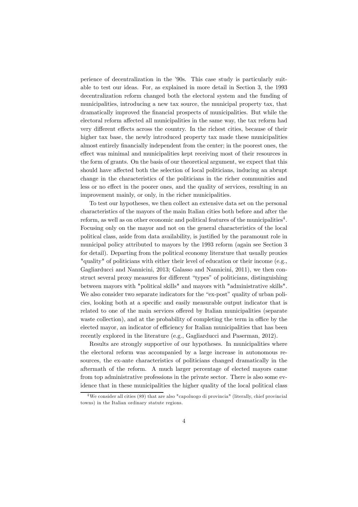perience of decentralization in the '90s. This case study is particularly suitable to test our ideas. For, as explained in more detail in Section 3, the 1993 decentralization reform changed both the electoral system and the funding of municipalities, introducing a new tax source, the municipal property tax, that dramatically improved the financial prospects of municipalities. But while the electoral reform affected all municipalities in the same way, the tax reform had very different effects across the country. In the richest cities, because of their higher tax base, the newly introduced property tax made these municipalities almost entirely financially independent from the center; in the poorest ones, the effect was minimal and municipalities kept receiving most of their resources in the form of grants. On the basis of our theoretical argument, we expect that this should have affected both the selection of local politicians, inducing an abrupt change in the characteristics of the politicians in the richer communities and less or no effect in the poorer ones, and the quality of services, resulting in an improvement mainly, or only, in the richer municipalities.

To test our hypotheses, we then collect an extensive data set on the personal characteristics of the mayors of the main Italian cities both before and after the reform, as well as on other economic and political features of the municipalities<sup>4</sup>. Focusing only on the mayor and not on the general characteristics of the local political class, aside from data availability, is justified by the paramount role in municipal policy attributed to mayors by the 1993 reform (again see Section 3 for detail). Departing from the political economy literature that usually proxies "quality" of politicians with either their level of education or their income (e.g., Gagliarducci and Nannicini, 2013; Galasso and Nannicini, 2011), we then construct several proxy measures for different "types" of politicians, distinguishing between mayors with "political skills" and mayors with "administrative skills". We also consider two separate indicators for the "ex-post" quality of urban policies, looking both at a specific and easily measurable output indicator that is related to one of the main services offered by Italian municipalities (separate waste collection), and at the probability of completing the term in office by the elected mayor, an indicator of efficiency for Italian municipalities that has been recently explored in the literature (e.g., Gagliarducci and Paserman, 2012).

Results are strongly supportive of our hypotheses. In municipalities where the electoral reform was accompanied by a large increase in autonomous resources, the ex-ante characteristics of politicians changed dramatically in the aftermath of the reform. A much larger percentage of elected mayors came from top administrative professions in the private sector. There is also some evidence that in these municipalities the higher quality of the local political class

<sup>4</sup>We consider all cities (89) that are also "capoluogo di provincia" (literally, chief provincial towns) in the Italian ordinary statute regions.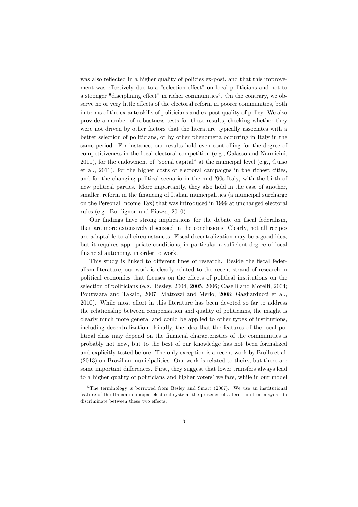was also reflected in a higher quality of policies ex-post, and that this improvement was effectively due to a "selection effect" on local politicians and not to a stronger "disciplining effect" in richer communities $5$ . On the contrary, we observe no or very little effects of the electoral reform in poorer communities, both in terms of the ex-ante skills of politicians and ex-post quality of policy. We also provide a number of robustness tests for these results, checking whether they were not driven by other factors that the literature typically associates with a better selection of politicians, or by other phenomena occurring in Italy in the same period. For instance, our results hold even controlling for the degree of competitiveness in the local electoral competition (e.g., Galasso and Nannicini, 2011), for the endowment of "social capital" at the municipal level (e.g., Guiso et al., 2011), for the higher costs of electoral campaigns in the richest cities, and for the changing political scenario in the mid '90s Italy, with the birth of new political parties. More importantly, they also hold in the case of another, smaller, reform in the financing of Italian municipalities (a municipal surcharge on the Personal Income Tax) that was introduced in 1999 at unchanged electoral rules (e.g., Bordignon and Piazza, 2010).

Our findings have strong implications for the debate on fiscal federalism, that are more extensively discussed in the conclusions. Clearly, not all recipes are adaptable to all circumstances. Fiscal decentralization may be a good idea, but it requires appropriate conditions, in particular a sufficient degree of local financial autonomy, in order to work.

This study is linked to different lines of research. Beside the fiscal federalism literature, our work is clearly related to the recent strand of research in political economics that focuses on the effects of political institutions on the selection of politicians (e.g., Besley, 2004, 2005, 2006; Caselli and Morelli, 2004; Poutvaara and Takalo, 2007; Mattozzi and Merlo, 2008; Gagliarducci et al., 2010). While most effort in this literature has been devoted so far to address the relationship between compensation and quality of politicians, the insight is clearly much more general and could be applied to other types of institutions, including decentralization. Finally, the idea that the features of the local political class may depend on the financial characteristics of the communities is probably not new, but to the best of our knowledge has not been formalized and explicitly tested before. The only exception is a recent work by Brollo et al. (2013) on Brazilian municipalities. Our work is related to theirs, but there are some important differences. First, they suggest that lower transfers always lead to a higher quality of politicians and higher voters' welfare, while in our model

 $5$ The terminology is borrowed from Besley and Smart (2007). We use an institutional feature of the Italian municipal electoral system, the presence of a term limit on mayors, to discriminate between these two effects.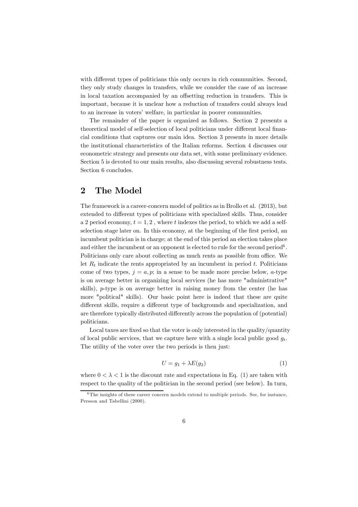with different types of politicians this only occurs in rich communities. Second, they only study changes in transfers, while we consider the case of an increase in local taxation accompanied by an offsetting reduction in transfers. This is important, because it is unclear how a reduction of transfers could always lead to an increase in voters' welfare, in particular in poorer communities.

The remainder of the paper is organized as follows. Section 2 presents a theoretical model of self-selection of local politicians under different local financial conditions that captures our main idea. Section 3 presents in more details the institutional characteristics of the Italian reforms. Section 4 discusses our econometric strategy and presents our data set, with some preliminary evidence. Section 5 is devoted to our main results, also discussing several robustness tests. Section 6 concludes.

# 2 The Model

The framework is a career-concern model of politics as in Brollo et al. (2013), but extended to different types of politicians with specialized skills. Thus, consider a 2 period economy,  $t = 1, 2$ , where t indexes the period, to which we add a selfselection stage later on. In this economy, at the beginning of the first period, an incumbent politician is in charge; at the end of this period an election takes place and either the incumbent or an opponent is elected to rule for the second period $6$ . Politicians only care about collecting as much rents as possible from office. We let  $R_t$  indicate the rents appropriated by an incumbent in period t. Politicians come of two types,  $j = a, p$ ; in a sense to be made more precise below, a-type is on average better in organizing local services (he has more "administrative" skills), p-type is on average better in raising money from the center (he has more "political" skills). Our basic point here is indeed that these are quite different skills, require a different type of backgrounds and specialization, and are therefore typically distributed differently across the population of (potential) politicians.

Local taxes are fixed so that the voter is only interested in the quality/quantity of local public services, that we capture here with a single local public good  $g_t$ . The utility of the voter over the two periods is then just:

$$
U = g_1 + \lambda E(g_2) \tag{1}
$$

where  $0 < \lambda < 1$  is the discount rate and expectations in Eq. (1) are taken with respect to the quality of the politician in the second period (see below). In turn,

<sup>&</sup>lt;sup>6</sup>The insights of these career concern models extend to multiple periods. See, for instance, Persson and Tabellini (2000).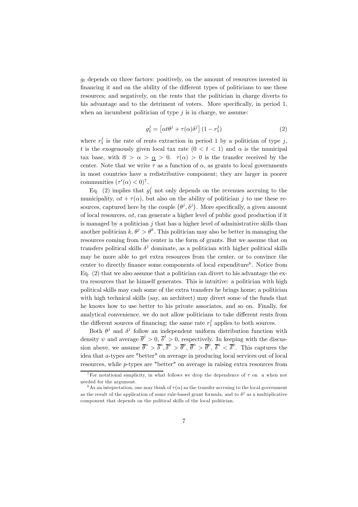$g_t$  depends on three factors: positively, on the amount of resources invested in financing it and on the ability of the different types of politicians to use these resources; and negatively, on the rents that the politician in charge diverts to his advantage and to the detriment of voters. More specifically, in period 1, when an incumbent politician of type  $j$  is in charge, we assume:

$$
g_1^j = \left[ \alpha t \theta^j + \tau(\alpha) \delta^j \right] (1 - r_1^j) \tag{2}
$$

where  $r_1^j$  is the rate of rents extraction in period 1 by a politician of type j, t is the exogenously given local tax rate  $(0 < t < 1)$  and  $\alpha$  is the municipal tax base, with  $\overline{\alpha} > \alpha > \underline{\alpha} > 0$ .  $\tau(\alpha) > 0$  is the transfer received by the center. Note that we write  $\tau$  as a function of  $\alpha$ , as grants to local governments in most countries have a redistributive component; they are larger in poorer communities  $(\tau'(\alpha) < 0)^7$ .

Eq. (2) implies that  $g_1^j$  not only depends on the revenues accruing to the municipality,  $\alpha t + \tau(\alpha)$ , but also on the ability of politician j to use these resources, captured here by the couple  $(\theta^j, \delta^j)$ . More specifically, a given amount of local resources,  $\alpha t$ , can generate a higher level of public good production if it is managed by a politician  $j$  that has a higher level of administrative skills than another politician  $k, \theta^j > \theta^k$ . This politician may also be better in managing the resources coming from the center in the form of grants. But we assume that on transfers political skills  $\delta^j$  dominate, as a politician with higher political skills may be more able to get extra resources from the center, or to convince the center to directly finance some components of local expenditure<sup>8</sup>. Notice from Eq. (2) that we also assume that a politician can divert to his advantage the extra resources that he himself generates. This is intuitive: a politician with high political skills may cash some of the extra transfers he brings home; a politician with high technical skills (say, an architect) may divert some of the funds that he knows how to use better to his private associates, and so on. Finally, for analytical convenience, we do not allow politicians to take different rents from the different sources of financing; the same rate  $r_1^j$  applies to both sources.

Both  $\theta^j$  and  $\delta^j$  follow an independent uniform distribution function with density  $\psi$  and average  $\overline{\theta}^j > 0$ ,  $\overline{\delta}^j > 0$ , respectively. In keeping with the discussion above, we assume  $\bar{\theta}^a > \bar{\delta}^a$ ,  $\bar{\delta}^p > \bar{\theta}^p$ ,  $\bar{\theta}^a > \bar{\theta}^p$ ,  $\bar{\delta}^a < \bar{\delta}^p$ . This captures the idea that a-types are "better" on average in producing local services out of local resources, while p-types are "better" on average in raising extra resources from

<sup>&</sup>lt;sup>7</sup>For notational simplicity, in what follows we drop the dependence of  $\tau$  on  $\alpha$  when not needed for the argument.

<sup>&</sup>lt;sup>8</sup>As an intepretation, one may think of  $\tau(\alpha)$  as the transfer accruing to the local government as the result of the application of some rule-based grant formula, and to  $\delta^j$  as a multiplicative component that depends on the political skills of the local politician.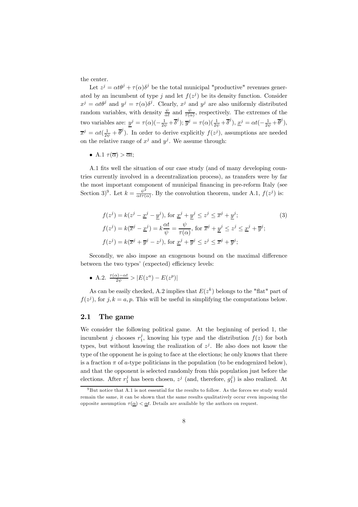the center.

Let  $z^j = \alpha t \theta^j + \tau(\alpha) \delta^j$  be the total municipal "productive" revenues generated by an incumbent of type j and let  $f(z^j)$  be its density function. Consider  $x^j = \alpha t \theta^j$  and  $y^j = \tau(\alpha) \delta^j$ . Clearly,  $x^j$  and  $y^j$  are also uniformly distributed random variables, with density  $\frac{\psi}{\alpha t}$  and  $\frac{\psi}{\tau(\alpha)}$ , respectively. The extremes of the two variables are:  $\underline{y}^j = \tau(\alpha)(-\frac{1}{2\psi}+\overline{\delta}^j); \overline{y}^j = \tau(\alpha)(\frac{1}{2\psi}+\overline{\delta}^j), \underline{x}^j = \alpha t(-\frac{1}{2\psi}+\overline{\theta}^j),$  $\overline{x}^j = \alpha t (\frac{1}{2\psi} + \overline{\theta}^j)$ . In order to derive explicitly  $f(z^j)$ , assumptions are needed on the relative range of  $x^j$  and  $y^j$ . We assume through:

• A.1  $\tau(\overline{\alpha}) > \overline{\alpha}t$ ;

A.1 fits well the situation of our case study (and of many developing countries currently involved in a decentralization process), as transfers were by far the most important component of municipal financing in pre-reform Italy (see Section 3)<sup>9</sup>. Let  $k = \frac{\psi^2}{\alpha t \tau(\alpha)}$ . By the convolution theorem, under A.1,  $f(z^j)$  is:

$$
f(z^j) = k(z^j - \underline{x}^j - \underline{y}^j), \text{ for } \underline{x}^j + \underline{y}^j \le z^j \le \overline{x}^j + \underline{y}^j; f(z^j) = k(\overline{x}^j - \underline{x}^j) = k\frac{\alpha t}{\psi} = \frac{\psi}{\tau(\alpha)}, \text{ for } \overline{x}^j + \underline{y}^j \le z^j \le \underline{x}^j + \overline{y}^j; f(z^j) = k(\overline{x}^j + \overline{y}^j - z^j), \text{ for } \underline{x}^j + \overline{y}^j \le z^j \le \overline{x}^j + \overline{y}^j;
$$
 (3)

Secondly, we also impose an exogenous bound on the maximal difference between the two types' (expected) efficiency levels:

• A.2.  $\frac{\tau(\alpha) - \alpha t}{2\psi} > |E(z^a) - E(z^p)|$ 

As can be easily checked, A.2 implies that  $E(z^k)$  belongs to the "flat" part of  $f(z^j)$ , for  $j, k = a, p$ . This will be useful in simplifying the computations below.

#### 2.1 The game

We consider the following political game. At the beginning of period 1, the incumbent j chooses  $r_1^j$ , knowing his type and the distribution  $f(z)$  for both types, but without knowing the realization of  $z^{j}$ . He also does not know the type of the opponent he is going to face at the elections; he only knows that there is a fraction  $\pi$  of a-type politicians in the population (to be endogenized below), and that the opponent is selected randomly from this population just before the elections. After  $r_1^j$  has been chosen,  $z^j$  (and, therefore,  $g_1^j$ ) is also realized. At

 $9B$ ut notice that A.1 is not essential for the results to follow. As the forces we study would remain the same, it can be shown that the same results qualitatively occur even imposing the opposite assumption  $\tau(\underline{\alpha}) < \underline{\alpha}t$ . Details are available by the authors on request.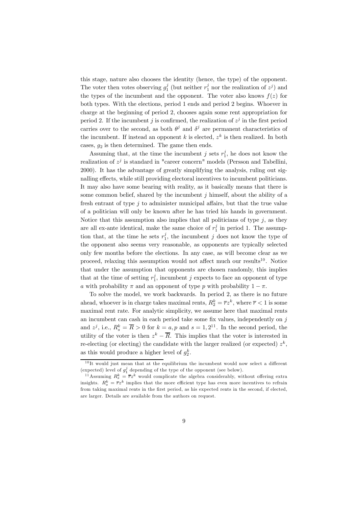this stage, nature also chooses the identity (hence, the type) of the opponent. The voter then votes observing  $g_1^j$  (but neither  $r_1^j$  nor the realization of  $z^j$ ) and the types of the incumbent and the opponent. The voter also knows  $f(z)$  for both types. With the elections, period 1 ends and period 2 begins. Whoever in charge at the beginning of period 2, chooses again some rent appropriation for period 2. If the incumbent j is confirmed, the realization of  $z<sup>j</sup>$  in the first period carries over to the second, as both  $\theta^j$  and  $\delta^j$  are permanent characteristics of the incumbent. If instead an opponent k is elected,  $z^k$  is then realized. In both cases,  $q_2$  is then determined. The game then ends.

Assuming that, at the time the incumbent j sets  $r_1^j$ , he does not know the realization of  $z^j$  is standard in "career concern" models (Persson and Tabellini, 2000). It has the advantage of greatly simplifying the analysis, ruling out signalling effects, while still providing electoral incentives to incumbent politicians. It may also have some bearing with reality, as it basically means that there is some common belief, shared by the incumbent  $j$  himself, about the ability of a fresh entrant of type  $j$  to administer municipal affairs, but that the true value of a politician will only be known after he has tried his hands in government. Notice that this assumption also implies that all politicians of type  $j$ , as they are all ex-ante identical, make the same choice of  $r_1^j$  in period 1. The assumption that, at the time he sets  $r_1^j$ , the incumbent j does not know the type of the opponent also seems very reasonable, as opponents are typically selected only few months before the elections. In any case, as will become clear as we proceed, relaxing this assumption would not affect much our results<sup>10</sup>. Notice that under the assumption that opponents are chosen randomly, this implies that at the time of setting  $r_1^j$ , incumbent j expects to face an opponent of type a with probability  $\pi$  and an opponent of type p with probability  $1 - \pi$ .

To solve the model, we work backwards. In period 2, as there is no future ahead, whoever is in charge takes maximal rents,  $R_2^k = \overline{r}z^k$ , where  $\overline{r} < 1$  is some maximal rent rate. For analytic simplicity, we assume here that maximal rents an incumbent can cash in each period take some fix values, independently on  $j$ and  $z^j$ , i.e.,  $R_s^k = \overline{R} > 0$  for  $k = a, p$  and  $s = 1, 2^{11}$ . In the second period, the utility of the voter is then  $z^k - \overline{R}$ . This implies that the voter is interested in re-electing (or electing) the candidate with the larger realized (or expected)  $z^k$ , as this would produce a higher level of  $g_2^k$ .

 $10$ It would just mean that at the equilibrium the incumbent would now select a different (expected) level of  $g_1^j$  depending of the type of the opponent (see below).<br><sup>11</sup> Assuming  $R_s^k = \overline{r}z^k$  would complicate the algebra considerably, without offering extra

insights.  $R_s^k = \overline{r}z^k$  implies that the more efficient type has even more incentives to refrain from taking maximal rents in the first period, as his expected rents in the second, if elected, are larger. Details are available from the authors on request.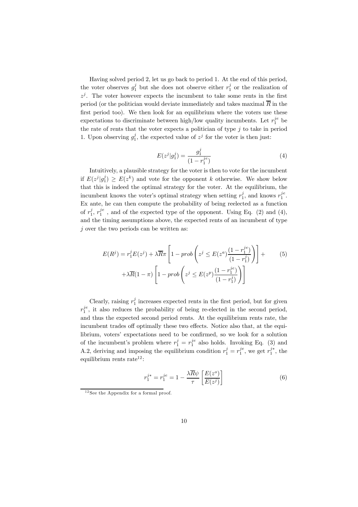Having solved period 2, let us go back to period 1. At the end of this period, the voter observes  $g_1^j$  but she does not observe either  $r_1^j$  or the realization of  $z^{j}$ . The voter however expects the incumbent to take some rents in the first period (or the politician would deviate immediately and takes maximal  $\overline{R}$  in the first period too). We then look for an equilibrium where the voters use these expectations to discriminate between high/low quality incumbents. Let  $r_1^{j_e}$  be the rate of rents that the voter expects a politician of type  $j$  to take in period 1. Upon observing  $g_1^j$ , the expected value of  $z^j$  for the voter is then just:

$$
E(z^j|g_1^j) = \frac{g_1^j}{(1 - r_1^{je})}
$$
\n(4)

Intuitively, a plausible strategy for the voter is then to vote for the incumbent if  $E(z^j | g_1^j) \ge E(z^k)$  and vote for the opponent k otherwise. We show below that this is indeed the optimal strategy for the voter. At the equilibrium, the incumbent knows the voter's optimal strategy when setting  $r_1^j$ , and knows  $r_1^{je}$ . Ex ante, he can then compute the probability of being reelected as a function of  $r_1^j$ ,  $r_1^{je}$ , and of the expected type of the opponent. Using Eq. (2) and (4), and the timing assumptions above, the expected rents of an incumbent of type  $j$  over the two periods can be written as:

$$
E(R^{j}) = r_{1}^{j}E(z^{j}) + \lambda \overline{R}\pi \left[ 1 - prob\left(z^{j} \le E(z^{a}) \frac{(1 - r_{1}^{j}e)}{(1 - r_{1}^{j})}\right) \right] + \lambda \overline{R}(1 - \pi) \left[ 1 - prob\left(z^{j} \le E(z^{p}) \frac{(1 - r_{1}^{j}e)}{(1 - r_{1}^{j})}\right) \right]
$$
\n
$$
(5)
$$

Clearly, raising  $r_1^j$  increases expected rents in the first period, but for given  $r_1^{je}$ , it also reduces the probability of being re-elected in the second period, and thus the expected second period rents. At the equilibrium rents rate, the incumbent trades off optimally these two effects. Notice also that, at the equilibrium, voters' expectations need to be confirmed, so we look for a solution of the incumbent's problem where  $r_1^j = r_1^{je}$  also holds. Invoking Eq. (3) and A.2, deriving and imposing the equilibrium condition  $r_1^j = r_1^{j_e}$ , we get  $r_1^{j_*}$ , the equilibrium rents rate $12$ :

$$
r_1^{j*} = r_1^{je} = 1 - \frac{\lambda \overline{R} \psi}{\tau} \left[ \frac{E(z^o)}{E(z^j)} \right] \tag{6}
$$

 $12$  See the Appendix for a formal proof.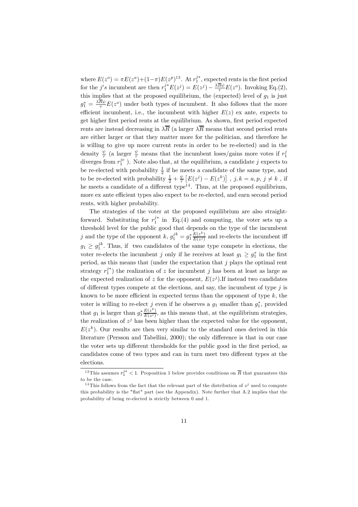where  $E(z^o) = \pi E(z^a) + (1-\pi)E(z^p)^{13}$ . At  $r_1^{j*}$ , expected rents in the first period for the j's incumbent are then  $r_1^{j*}E(z^j) = E(z^j) - \frac{\lambda \overline{R}\psi}{\tau}E(z^o)$ . Invoking Eq.(2), this implies that at the proposed equilibrium, the (expected) level of  $g_1$  is just  $g_1^* = \frac{\lambda R \psi}{\tau} E(z^o)$  under both types of incumbent. It also follows that the more efficient incumbent, i.e., the incumbent with higher  $E(z)$  ex ante, expects to get higher first period rents at the equilibrium. As shown, first period expected rents are instead decreasing in  $\lambda \overline{R}$  (a larger  $\lambda \overline{R}$  means that second period rents are either larger or that they matter more for the politician, and therefore he is willing to give up more current rents in order to be re-elected) and in the density  $\frac{\psi}{\tau}$  (a larger  $\frac{\psi}{\tau}$  means that the incumbent loses/gains more votes if  $r_1^j$ diverges from  $r_1^{je}$  ). Note also that, at the equilibrium, a candidate j expects to be re-elected with probability  $\frac{1}{2}$  if he meets a candidate of the same type, and to be re-elected with probability  $\frac{1}{2} + \frac{\psi}{\tau} \left[E(z^j) - E(z^k)\right]$ ,  $j, k = a, p, j \neq k$ , if he meets a candidate of a different type<sup>14</sup>. Thus, at the proposed equilibrium, more ex ante efficient types also expect to be re-elected, and earn second period rents, with higher probability.

The strategies of the voter at the proposed equilibrium are also straightforward. Substituting for  $r_1^{j*}$  in Eq.(4) and computing, the voter sets up a threshold level for the public good that depends on the type of the incumbent j and the type of the opponent  $k, g_1^{jk} = g_1^* \frac{E(z^k)}{E(z^j)}$  and re-elects the incumbent iff  $g_1 \geq g_1^{jk}$ . Thus, if two candidates of the same type compete in elections, the voter re-elects the incumbent j only if he receives at least  $g_1 \geq g_1^*$  in the first period, as this means that (under the expectation that  $j$  plays the optimal rent strategy  $r_1^{j*}$ ) the realization of z for incumbent j has been at least as large as the expected realization of z for the opponent,  $E(z<sup>j</sup>)$ . If instead two candidates of different types compete at the elections, and say, the incumbent of type  $j$  is known to be more efficient in expected terms than the opponent of type  $k$ , the voter is willing to re-elect j even if he observes a  $g_1$  smaller than  $g_1^*$ , provided that  $g_1$  is larger than  $g_1^* \frac{E(z^k)}{E(z^j)}$ , as this means that, at the equilibrium strategies, the realization of  $z^{j}$  has been higher than the expected value for the opponent,  $E(z^k)$ . Our results are then very similar to the standard ones derived in this literature (Persson and Tabellini, 2000); the only difference is that in our case the voter sets up different thresholds for the public good in the first period, as candidates come of two types and can in turn meet two different types at the elections.

<sup>&</sup>lt;sup>13</sup>This assumes  $r_1^{j*} < 1$ . Proposition 1 below provides conditions on  $\overline{R}$  that guarantees this to be the case.

<sup>&</sup>lt;sup>14</sup>This follows from the fact that the relevant part of the distribution of  $z<sup>j</sup>$  used to compute this probability is the "flat" part (see the Appendix). Note further that A.2 implies that the probability of being re-elected is strictly between 0 and 1.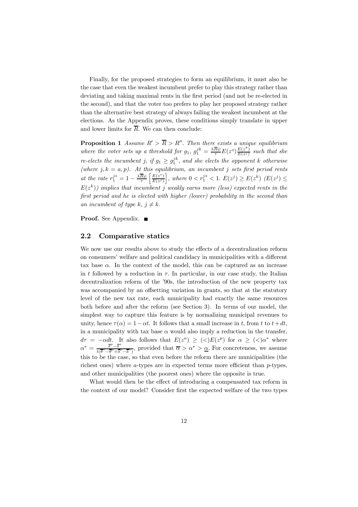Finally, for the proposed strategies to form an equilibrium, it must also be the case that even the weakest incumbent prefer to play this strategy rather than deviating and taking maximal rents in the first period (and not be re-elected in the second), and that the voter too prefers to play her proposed strategy rather than the alternative best strategy of always failing the weakest incumbent at the elections. As the Appendix proves, these conditions simply translate in upper and lower limits for  $\overline{R}$ . We can then conclude:

**Proposition 1** Assume  $R' > \overline{R} > R''$ . Then there exists a unique equilibrium where the voter sets up a threshold for  $g_1$ ,  $g_1^{jk} = \frac{\lambda \overline{R} \psi}{\tau} E(z^o) \frac{E(z^k)}{E(z^j)}$  such that she re-elects the incumbent j, if  $g_1 \geq g_1^{jk}$ , and she elects the opponent k otherwise (where  $j, k = a, p$ ). At this equilibrium, an incumbent j sets first period rents at the rate  $r_1^{j*} = 1 - \frac{\lambda \overline{R} \psi}{\tau}$  $E(z^{\circ})$  $E(z^j)$ |, where 0 <  $r_1^{j*}$  < 1.  $E(z^j)$  ≥  $E(z^k)$  ( $E(z^j)$  ≤  $E(z^k)$ ) implies that incumbent j weakly earns more (less) expected rents in the first period and he is elected with higher (lower) probability in the second than an incumbent of type k,  $j \neq k$ .

**Proof.** See Appendix. ■

#### 2.2 Comparative statics

We now use our results above to study the effects of a decentralization reform on consumers' welfare and political candidacy in municipalities with a different tax base  $\alpha$ . In the context of the model, this can be captured as an increase in t followed by a reduction in  $\tau$ . In particular, in our case study, the Italian decentralization reform of the '90s, the introduction of the new property tax was accompanied by an offsetting variation in grants, so that at the statutory level of the new tax rate, each municipality had exactly the same resources both before and after the reform (see Section 3). In terms of our model, the simplest way to capture this feature is by normalizing municipal revenues to unity, hence  $\tau(\alpha)=1-\alpha t$ . It follows that a small increase in t, from t to  $t+dt$ , in a municipality with tax base  $\alpha$  would also imply a reduction in the transfer,  $d\tau = -\alpha dt$ . It also follows that  $E(z^a) \geq \langle \langle \rangle E(z^p)$  for  $\alpha \geq \langle \langle \rangle \alpha^*$  where  $\alpha^* = \frac{\overline{\delta}^p - \overline{\delta}^a}{\sqrt{\overline{\delta}^a} - \overline{\delta}^p + \overline{\overline{s}^p}}$  $\frac{\partial^2 \theta}{\partial t} - \frac{\partial^2 \theta}{\partial t} - \frac{\partial^2 \theta}{\partial t^2}$ , provided that  $\overline{\alpha} > \alpha^* > \underline{\alpha}$ . For concreteness, we assume this to be the case, so that even before the reform there are municipalities (the richest ones) where  $a$ -types are in expected terms more efficient than  $p$ -types, and other municipalities (the poorest ones) where the opposite is true.

What would then be the effect of introducing a compensated tax reform in the context of our model? Consider first the expected welfare of the two types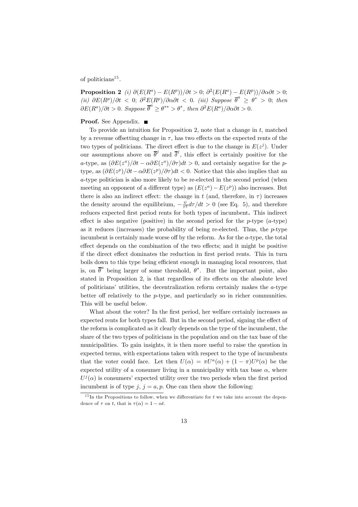of politicians<sup>15</sup>.

**Proposition 2** (i)  $\partial(E(R^a) - E(R^p))/\partial t > 0$ ;  $\partial^2(E(R^a) - E(R^p))/\partial \partial \partial t > 0$ ; (ii)  $\partial E(R^p)/\partial t < 0$ ;  $\partial^2 E(R^p)/\partial \alpha \partial t < 0$ . (iii) Suppose  $\overline{\theta}^a \ge \theta^* > 0$ ; then  $\partial E(R^a)/\partial t > 0$ . Suppose  $\overline{\theta}^a \ge \theta^{**} > \theta^*$ , then  $\partial^2 E(R^a)/\partial \alpha \partial t > 0$ .

#### Proof. See Appendix. ■

To provide an intuition for Proposition 2, note that a change in t, matched by a revenue offsetting change in  $\tau$ , has two effects on the expected rents of the two types of politicians. The direct effect is due to the change in  $E(z<sup>j</sup>)$ . Under our assumptions above on  $\bar{\theta}^j$  and  $\bar{\delta}^j$ , this effect is certainly positive for the a-type, as  $(\partial E(z^a)/\partial t - \alpha \partial E(z^a)/\partial \tau)dt > 0$ , and certainly negative for the ptype, as  $(\partial E(z^p)/\partial t - \alpha \partial E(z^p)/\partial \tau)dt < 0$ . Notice that this also implies that an a-type politician is also more likely to be re-elected in the second period (when meeting an opponent of a different type) as  $(E(z<sup>a</sup>) – E(z<sup>p</sup>))$  also increases. But there is also an indirect effect: the change in t (and, therefore, in  $\tau$ ) increases the density around the equilibrium,  $-\frac{\psi}{\tau^2}d\tau/dt > 0$  (see Eq. 5), and therefore reduces expected first period rents for both types of incumbent. This indirect effect is also negative (positive) in the second period for the  $p$ -type  $(a$ -type) as it reduces (increases) the probability of being re-elected. Thus, the  $p$ -type incumbent is certainly made worse off by the reform. As for the a-type, the total effect depends on the combination of the two effects; and it might be positive if the direct effect dominates the reduction in first period rents. This in turn boils down to this type being efficient enough in managing local resources, that is, on  $\bar{\theta}^a$  being larger of some threshold,  $\theta^*$ . But the important point, also stated in Proposition 2, is that regardless of its effects on the absolute level of politicians' utilities, the decentralization reform certainly makes the a-type better off relatively to the  $p$ -type, and particularly so in richer communities. This will be useful below.

What about the voter? In the first period, her welfare certainly increases as expected rents for both types fall. But in the second period, signing the effect of the reform is complicated as it clearly depends on the type of the incumbent, the share of the two types of politicians in the population and on the tax base of the municipalities. To gain insights, it is then more useful to raise the question in expected terms, with expectations taken with respect to the type of incumbents that the voter could face. Let then  $U(\alpha) = \pi U^a(\alpha) + (1 - \pi)U^p(\alpha)$  be the expected utility of a consumer living in a municipality with tax base  $\alpha$ , where  $U^j(\alpha)$  is consumers' expected utility over the two periods when the first period incumbent is of type j,  $j = a, p$ . One can then show the following:

 $15$  In the Propositions to follow, when we differentiate for t we take into account the dependence of  $\tau$  on t, that is  $\tau(\alpha)=1-\alpha t$ .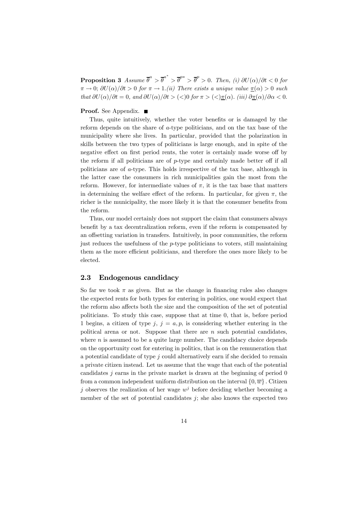**Proposition 3** Assume  $\overline{\theta}^a > \overline{\theta}^{a^*} > \overline{\theta}^{p^*} > \overline{\theta}^p > 0$ . Then, (i)  $\partial U(\alpha)/\partial t < 0$  for  $\pi \to 0$ ;  $\partial U(\alpha)/\partial t > 0$  for  $\pi \to 1$ .(ii) There exists a unique value  $\pi(\alpha) > 0$  such that  $\partial U(\alpha)/\partial t = 0$ , and  $\partial U(\alpha)/\partial t > \langle 0 \rangle$  for  $\pi > \langle 0 \rangle \frac{\pi(\alpha)}{\alpha}$ . (iii)  $\partial \frac{\pi(\alpha)}{\alpha} < 0$ .

#### Proof. See Appendix. ■

Thus, quite intuitively, whether the voter benefits or is damaged by the reform depends on the share of a-type politicians, and on the tax base of the municipality where she lives. In particular, provided that the polarization in skills between the two types of politicians is large enough, and in spite of the negative effect on first period rents, the voter is certainly made worse off by the reform if all politicians are of  $p$ -type and certainly made better off if all politicians are of a-type. This holds irrespective of the tax base, although in the latter case the consumers in rich municipalities gain the most from the reform. However, for intermediate values of  $\pi$ , it is the tax base that matters in determining the welfare effect of the reform. In particular, for given  $\pi$ , the richer is the municipality, the more likely it is that the consumer benefits from the reform.

Thus, our model certainly does not support the claim that consumers always benefit by a tax decentralization reform, even if the reform is compensated by an offsetting variation in transfers. Intuitively, in poor communities, the reform just reduces the usefulness of the  $p$ -type politicians to voters, still maintaining them as the more efficient politicians, and therefore the ones more likely to be elected.

## 2.3 Endogenous candidacy

So far we took  $\pi$  as given. But as the change in financing rules also changes the expected rents for both types for entering in politics, one would expect that the reform also affects both the size and the composition of the set of potential politicians. To study this case, suppose that at time 0, that is, before period 1 begins, a citizen of type j,  $j = a, p$ , is considering whether entering in the political arena or not. Suppose that there are  $n$  such potential candidates, where  $n$  is assumed to be a quite large number. The candidacy choice depends on the opportunity cost for entering in politics, that is on the remuneration that a potential candidate of type j could alternatively earn if she decided to remain a private citizen instead. Let us assume that the wage that each of the potential candidates  $j$  earns in the private market is drawn at the beginning of period 0 from a common independent uniform distribution on the interval  $\{0,\overline{w}\}\)$ . Citizen j observes the realization of her wage  $w<sup>j</sup>$  before deciding whether becoming a member of the set of potential candidates  $j$ ; she also knows the expected two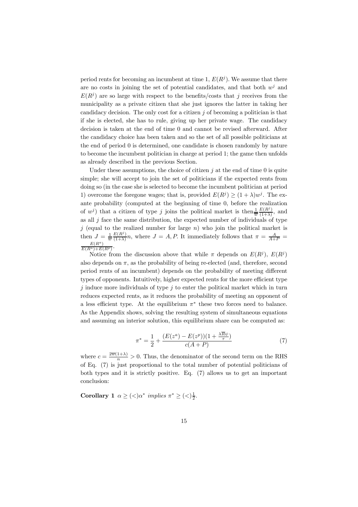period rents for becoming an incumbent at time 1,  $E(R<sup>j</sup>)$ . We assume that there are no costs in joining the set of potential candidates, and that both  $w<sup>j</sup>$  and  $E(R<sup>j</sup>)$  are so large with respect to the benefits/costs that j receives from the municipality as a private citizen that she just ignores the latter in taking her candidacy decision. The only cost for a citizen  $j$  of becoming a politician is that if she is elected, she has to rule, giving up her private wage. The candidacy decision is taken at the end of time 0 and cannot be revised afterward. After the candidacy choice has been taken and so the set of all possible politicians at the end of period 0 is determined, one candidate is chosen randomly by nature to become the incumbent politician in charge at period 1; the game then unfolds as already described in the previous Section.

Under these assumptions, the choice of citizen  $j$  at the end of time 0 is quite simple; she will accept to join the set of politicians if the expected rents from doing so (in the case she is selected to become the incumbent politician at period 1) overcome the foregone wages; that is, provided  $E(R^j) \ge (1 + \lambda)w^j$ . The exante probability (computed at the beginning of time 0, before the realization of  $w^j$ ) that a citizen of type j joins the political market is then  $\frac{1}{w}$  $\frac{E(R^j)}{(1+\lambda)}$ , and as all  $j$  face the same distribution, the expected number of individuals of type j (equal to the realized number for large  $n$ ) who join the political market is then  $J = \frac{1}{\overline{w}}$ then  $J = \frac{1}{w} \frac{E(R^j)}{(1+\lambda)} n$ , where  $J = A, P$ . It immediately follows that  $\pi = \frac{A}{A+P} = \frac{E(R^a)}{E(R^a)+E(R^p)}$ .

Notice from the discussion above that while  $\pi$  depends on  $E(R<sup>j</sup>)$ ,  $E(R<sup>j</sup>)$ also depends on  $\pi$ , as the probability of being re-elected (and, therefore, second period rents of an incumbent) depends on the probability of meeting different types of opponents. Intuitively, higher expected rents for the more efficient type j induce more individuals of type j to enter the political market which in turn reduces expected rents, as it reduces the probability of meeting an opponent of a less efficient type. At the equilibrium  $\pi^*$  these two forces need to balance. As the Appendix shows, solving the resulting system of simultaneous equations and assuming an interior solution, this equilibrium share can be computed as:

$$
\pi^* = \frac{1}{2} + \frac{(E(z^a) - E(z^p))(1 + \frac{\lambda \overline{R}\psi}{\tau})}{c(A+P)}
$$
(7)

where  $c = \frac{2\overline{w}(1+\lambda)}{n} > 0$ . Thus, the denominator of the second term on the RHS of Eq. (7) is just proportional to the total number of potential politicians of both types and it is strictly positive. Eq. (7) allows us to get an important conclusion:

**Corollary 1**  $\alpha \geq \frac{\langle \rangle \alpha^*}{\langle \alpha \rangle}$  implies  $\pi^* \geq \frac{\langle \rangle \frac{1}{2}}{\langle \alpha \rangle}$ .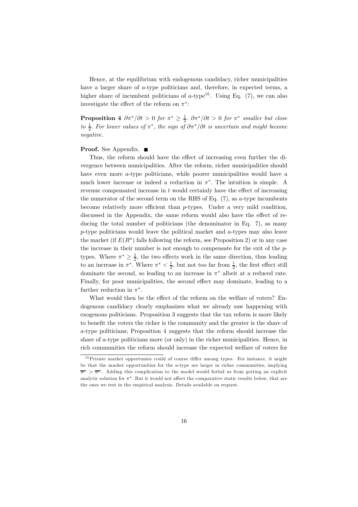Hence, at the equilibrium with endogenous candidacy, richer municipalities have a larger share of a-type politicians and, therefore, in expected terms, a higher share of incumbent politicians of  $a$ -type<sup>16</sup>. Using Eq. (7), we can also investigate the effect of the reform on  $\pi^*$ :

**Proposition 4**  $\partial \pi^* / \partial t > 0$  for  $\pi^* \geq \frac{1}{2}$ .  $\partial \pi^* / \partial t > 0$  for  $\pi^*$  smaller but close to  $\frac{1}{2}$ . For lower values of  $\pi^*$ , the sign of  $\partial \pi^* / \partial t$  is uncertain and might become negative.

#### **Proof.** See Appendix. ■

Thus, the reform should have the effect of increasing even further the divergence between municipalities. After the reform, richer municipalities should have even more a-type politicians, while poorer municipalities would have a much lower increase or indeed a reduction in  $\pi^*$ . The intuition is simple. A revenue compensated increase in t would certainly have the effect of increasing the numerator of the second term on the RHS of Eq.  $(7)$ , as a-type incumbents become relatively more efficient than  $p$ -types. Under a very mild condition, discussed in the Appendix, the same reform would also have the effect of reducing the total number of politicians (the denominator in Eq. 7), as many  $p$ -type politicians would leave the political market and  $a$ -types may also leave the market (if  $E(R^a)$  falls following the reform, see Proposition 2) or in any case the increase in their number is not enough to compensate for the exit of the ptypes. Where  $\pi^* \geq \frac{1}{2}$ , the two effects work in the same direction, thus leading to an increase in  $\pi^*$ . Where  $\pi^* < \frac{1}{2}$ , but not too far from  $\frac{1}{2}$ , the first effect still dominate the second, so leading to an increase in  $\pi^*$  albeit at a reduced rate. Finally, for poor municipalities, the second effect may dominate, leading to a further reduction in  $\pi^*$ .

What would then be the effect of the reform on the welfare of voters? Endogenous candidacy clearly emphasizes what we already saw happening with exogenous politicians. Proposition 3 suggests that the tax reform is more likely to benefit the voters the richer is the community and the greater is the share of a-type politicians; Proposition 4 suggests that the reform should increase the share of a-type politicians more (or only) in the richer municipalities. Hence, in rich communities the reform should increase the expected welfare of voters for

 $16$ Private market opportunies could of course differ among types. For instance, it might be that the market opportunities for the  $a$ -type are larger in richer communities, implying  $\overline{w}^a > \overline{w}^p$ . Adding this complication to the model would forbid us from getting an explicit analytic solution for  $\pi^*$ . But it would not affect the comparative static results below, that are the ones we test in the empirical analysis. Details available on request.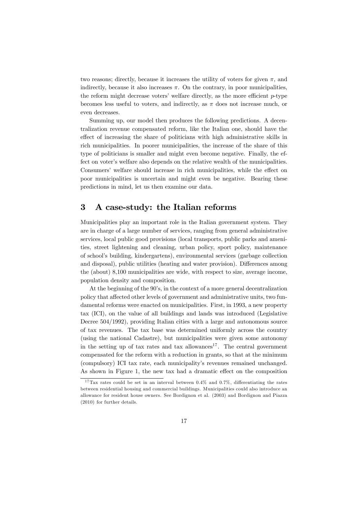two reasons; directly, because it increases the utility of voters for given  $\pi$ , and indirectly, because it also increases  $\pi$ . On the contrary, in poor municipalities, the reform might decrease voters' welfare directly, as the more efficient  $p$ -type becomes less useful to voters, and indirectly, as  $\pi$  does not increase much, or even decreases.

Summing up, our model then produces the following predictions. A decentralization revenue compensated reform, like the Italian one, should have the effect of increasing the share of politicians with high administrative skills in rich municipalities. In poorer municipalities, the increase of the share of this type of politicians is smaller and might even become negative. Finally, the effect on voter's welfare also depends on the relative wealth of the municipalities. Consumers' welfare should increase in rich municipalities, while the effect on poor municipalities is uncertain and might even be negative. Bearing these predictions in mind, let us then examine our data.

# 3 A case-study: the Italian reforms

Municipalities play an important role in the Italian government system. They are in charge of a large number of services, ranging from general administrative services, local public good provisions (local transports, public parks and amenities, street lightening and cleaning, urban policy, sport policy, maintenance of school's building, kindergartens), environmental services (garbage collection and disposal), public utilities (heating and water provision). Differences among the (about) 8,100 municipalities are wide, with respect to size, average income, population density and composition.

At the beginning of the 90's, in the context of a more general decentralization policy that affected other levels of government and administrative units, two fundamental reforms were enacted on municipalities. First, in 1993, a new property tax (ICI), on the value of all buildings and lands was introduced (Legislative Decree 504/1992), providing Italian cities with a large and autonomous source of tax revenues. The tax base was determined uniformly across the country (using the national Cadastre), but municipalities were given some autonomy in the setting up of tax rates and tax allowances<sup>17</sup>. The central government compensated for the reform with a reduction in grants, so that at the minimum (compulsory) ICI tax rate, each municipality's revenues remained unchanged. As shown in Figure 1, the new tax had a dramatic effect on the composition

<sup>&</sup>lt;sup>17</sup>Tax rates could be set in an interval between  $0.4\%$  and  $0.7\%$ , differentiating the rates between residential housing and commercial buildings. Municipalities could also introduce an allowance for resident house owners. See Bordignon et al. (2003) and Bordignon and Piazza (2010) for further details.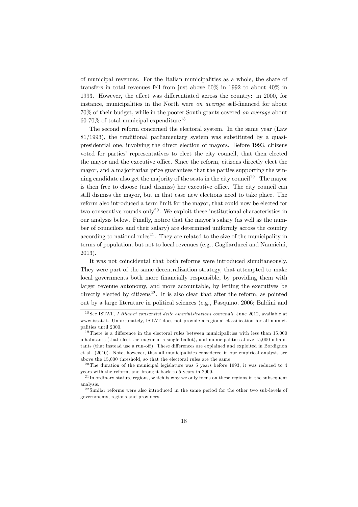of municipal revenues. For the Italian municipalities as a whole, the share of transfers in total revenues fell from just above 60% in 1992 to about 40% in 1993. However, the effect was differentiated across the country: in 2000, for instance, municipalities in the North were on average self-financed for about 70% of their budget, while in the poorer South grants covered on average about  $60-70\%$  of total municipal expenditure<sup>18</sup>.

The second reform concerned the electoral system. In the same year (Law 81/1993), the traditional parliamentary system was substituted by a quasipresidential one, involving the direct election of mayors. Before 1993, citizens voted for parties' representatives to elect the city council, that then elected the mayor and the executive office. Since the reform, citizens directly elect the mayor, and a majoritarian prize guarantees that the parties supporting the winning candidate also get the majority of the seats in the city council<sup>19</sup>. The mayor is then free to choose (and dismiss) her executive office. The city council can still dismiss the mayor, but in that case new elections need to take place. The reform also introduced a term limit for the mayor, that could now be elected for two consecutive rounds only<sup>20</sup>. We exploit these institutional characteristics in our analysis below. Finally, notice that the mayor's salary (as well as the number of councilors and their salary) are determined uniformly across the country according to national rules<sup>21</sup>. They are related to the size of the municipality in terms of population, but not to local revenues (e.g., Gagliarducci and Nannicini, 2013).

It was not coincidental that both reforms were introduced simultaneously. They were part of the same decentralization strategy, that attempted to make local governments both more financially responsible, by providing them with larger revenue autonomy, and more accountable, by letting the executives be directly elected by citizens<sup>22</sup>. It is also clear that after the reform, as pointed out by a large literature in political sciences (e.g., Pasquino, 2006; Baldini and

<sup>&</sup>lt;sup>18</sup> See ISTAT, I Bilanci consuntivi delle amministrazioni comunali, June 2012, available at www.istat.it. Unfortunately, ISTAT does not provide a regional classification for all municipalities until 2000.

 $19$ There is a difference in the electoral rules between municipalities with less than 15,000 inhabitants (that elect the mayor in a single ballot), and municipalities above 15,000 inhabitants (that instead use a run-off). These differences are explained and exploited in Bordignon et al. (2010). Note, however, that all municipalities considered in our empirical analysis are above the 15,000 threshold, so that the electoral rules are the same.

<sup>&</sup>lt;sup>20</sup>The duration of the municipal legislature was 5 years before 1993, it was reduced to 4 years with the reform, and brought back to 5 years in 2000.

 $21$  In ordinary statute regions, which is why we only focus on these regions in the subsequent analysis.

<sup>2 2</sup> Similar reforms were also introduced in the same period for the other two sub-levels of governments, regions and provinces.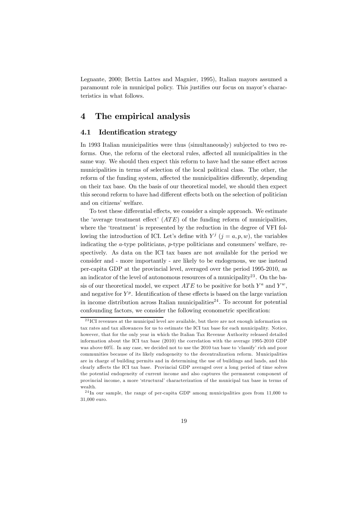Legnante, 2000; Bettin Lattes and Magnier, 1995), Italian mayors assumed a paramount role in municipal policy. This justifies our focus on mayor's characteristics in what follows.

# 4 The empirical analysis

#### 4.1 Identification strategy

In 1993 Italian municipalities were thus (simultaneously) subjected to two reforms. One, the reform of the electoral rules, affected all municipalities in the same way. We should then expect this reform to have had the same effect across municipalities in terms of selection of the local political class. The other, the reform of the funding system, affected the municipalities differently, depending on their tax base. On the basis of our theoretical model, we should then expect this second reform to have had different effects both on the selection of politician and on citizens' welfare.

To test these differential effects, we consider a simple approach. We estimate the 'average treatment effect'  $(ATE)$  of the funding reform of municipalities, where the 'treatment' is represented by the reduction in the degree of VFI following the introduction of ICI. Let's define with  $Y^j$  ( $j = a, p, w$ ), the variables indicating the a-type politicians, p-type politicians and consumers' welfare, respectively. As data on the ICI tax bases are not available for the period we consider and - more importantly - are likely to be endogenous, we use instead per-capita GDP at the provincial level, averaged over the period 1995-2010, as an indicator of the level of autonomous resources of a municipality<sup>23</sup>. On the basis of our theoretical model, we expect  $ATE$  to be positive for both  $Y^a$  and  $Y^w$ , and negative for  $Y^p$ . Identification of these effects is based on the large variation in income distribution across Italian municipalities<sup>24</sup>. To account for potential confounding factors, we consider the following econometric specification:

<sup>&</sup>lt;sup>23</sup> ICI revenues at the municipal level are available, but there are not enough information on tax rates and tax allowances for us to estimate the ICI tax base for each municipality. Notice, however, that for the only year in which the Italian Tax Revenue Authority released detailed information about the ICI tax base (2010) the correlation with the average 1995-2010 GDP was above 60%. In any case, we decided not to use the 2010 tax base to 'classify' rich and poor communities because of its likely endogeneity to the decentralization reform. Municipalities are in charge of building permits and in determining the use of buildings and lands, and this clearly affects the ICI tax base. Provincial GDP averaged over a long period of time solves the potential endogeneity of current income and also captures the permanent component of provincial income, a more 'structural' characterization of the municipal tax base in terms of wealth.

 $24$ In our sample, the range of per-capita GDP among municipalities goes from 11,000 to 31,000 euro.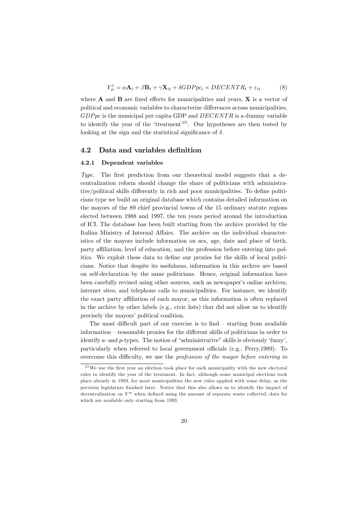$$
Y_{it}^{j} = \alpha \mathbf{A}_{i} + \beta \mathbf{B}_{t} + \gamma \mathbf{X}_{it} + \delta GDPpc_{i} \times DECENTR_{t} + \varepsilon_{it}
$$
(8)

where  $A$  and  $B$  are fixed effects for municipalities and years,  $X$  is a vector of political and economic variables to characterize differences across municipalities,  $GDPpc$  is the municipal per capita GDP and  $DECENTR$  is a dummy variable to identify the year of the 'treatment'<sup>25</sup>. Our hypotheses are then tested by looking at the sign and the statistical significance of  $\delta$ .

#### 4.2 Data and variables definition

#### 4.2.1 Dependent variables

Type. The first prediction from our theoretical model suggests that a decentralization reform should change the share of politicians with administrative/political skills differently in rich and poor municipalities. To define politicians type we build an original database which contains detailed information on the mayors of the 89 chief provincial towns of the 15 ordinary statute regions elected between 1988 and 1997, the ten years period around the introduction of ICI. The database has been built starting from the archive provided by the Italian Ministry of Internal Affairs. The archive on the individual characteristics of the mayors include information on sex, age, date and place of birth, party affiliation, level of education, and the profession before entering into politics. We exploit these data to define our proxies for the skills of local politicians. Notice that despite its usefulness, information in this archive are based on self-declaration by the same politicians. Hence, original information have been carefully revised using other sources, such as newspaper's online archives, internet sites, and telephone calls to municipalities. For instance, we identify the exact party affiliation of each mayor, as this information is often replaced in the archive by other labels (e.g., civic lists) that did not allow us to identify precisely the mayors' political coalition.

The most difficult part of our exercise is to find — starting from available information — reasonable proxies for the different skills of politicians in order to identify a- and p-types. The notion of "administrative" skills is obviously 'fuzzy', particularly when referred to local government officials (e.g., Perry,1989). To overcome this difficulty, we use the profession of the mayor before entering in

 $25$  We use the first year an election took place for each municipality with the new electoral rules to identify the year of the treatment. In fact, although some municipal elections took place already in 1993, for most municipalities the new rules applied with some delay, as the previous legislature finished later. Notice that this also allows us to identify the impact of decentralization on  $Y^w$  when defined using the amount of separate waste collected, data for which are available only starting from 1993.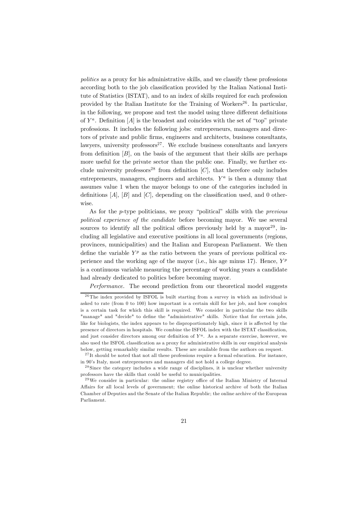politics as a proxy for his administrative skills, and we classify these professions according both to the job classification provided by the Italian National Institute of Statistics (ISTAT), and to an index of skills required for each profession provided by the Italian Institute for the Training of Workers<sup>26</sup>. In particular, in the following, we propose and test the model using three different definitions of  $Y^a$ . Definition [A] is the broadest and coincides with the set of "top" private professions. It includes the following jobs: entrepreneurs, managers and directors of private and public firms, engineers and architects, business consultants, lawyers, university professors<sup>27</sup>. We exclude business consultants and lawyers from definition  $[B]$ , on the basis of the argument that their skills are perhaps more useful for the private sector than the public one. Finally, we further exclude university professors<sup>28</sup> from definition  $[C]$ , that therefore only includes entrepreneurs, managers, engineers and architects.  $Y^a$  is then a dummy that assumes value 1 when the mayor belongs to one of the categories included in definitions  $[A], [B]$  and  $[C]$ , depending on the classification used, and 0 otherwise.

As for the *p*-type politicians, we proxy "political" skills with the *previous* political experience of the candidate before becoming mayor. We use several sources to identify all the political offices previously held by a mayor<sup>29</sup>, including all legislative and executive positions in all local governments (regions, provinces, municipalities) and the Italian and European Parliament. We then define the variable  $Y^p$  as the ratio between the years of previous political experience and the working age of the mayor (i.e., his age minus 17). Hence,  $Y^p$ is a continuous variable measuring the percentage of working years a candidate had already dedicated to politics before becoming mayor.

Performance. The second prediction from our theoretical model suggests

 $26$ The index provided by ISFOL is built starting from a survey in which an individual is asked to rate (from 0 to 100) how important is a certain skill for her job, and how complex is a certain task for which this skill is required. We consider in particular the two skills "manage" and "decide" to define the "administrative" skills. Notice that for certain jobs, like for biologists, the index appears to be disproportionately high, since it is affected by the presence of directors in hospitals. We combine the ISFOL index with the ISTAT classification, and just consider directors among our definition of  $Y^a$ . As a separate exercise, however, we also used the ISFOL classification as a proxy for administrative skills in our empirical analysis below, getting remarkably similar results. These are available from the authors on request.

 $27$ It should be noted that not all these professions require a formal education. For instance, in 90's Italy, most entrepreneurs and managers did not hold a college degree.

<sup>&</sup>lt;sup>28</sup> Since the category includes a wide range of disciplines, it is unclear whether university professors have the skills that could be useful to municipalities.

 $^{29}$ We consider in particular: the online registry office of the Italian Ministry of Internal Affairs for all local levels of government; the online historical archive of both the Italian Chamber of Deputies and the Senate of the Italian Republic; the online archive of the European Parliament.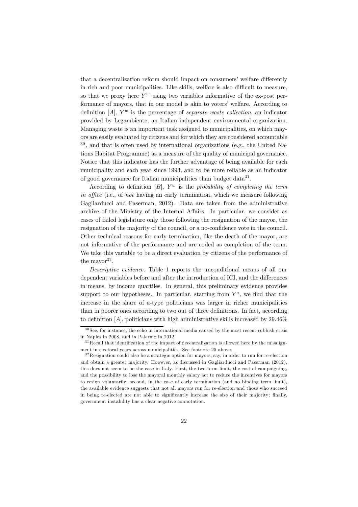that a decentralization reform should impact on consumers' welfare differently in rich and poor municipalities. Like skills, welfare is also difficult to measure, so that we proxy here  $Y^w$  using two variables informative of the ex-post performance of mayors, that in our model is akin to voters' welfare. According to definition  $[A]$ ,  $Y^w$  is the percentage of *separate waste collection*, an indicator provided by Legambiente, an Italian independent environmental organization. Managing waste is an important task assigned to municipalities, on which mayors are easily evaluated by citizens and for which they are considered accountable <sup>30</sup> , and that is often used by international organizations (e.g., the United Nations Habitat Programme) as a measure of the quality of municipal governance. Notice that this indicator has the further advantage of being available for each municipality and each year since 1993, and to be more reliable as an indicator of good governance for Italian municipalities than budget data<sup>31</sup>.

According to definition  $[B]$ ,  $Y^w$  is the probability of completing the term in office (i.e., of not having an early termination, which we measure following Gagliarducci and Paserman, 2012). Data are taken from the administrative archive of the Ministry of the Internal Affairs. In particular, we consider as cases of failed legislature only those following the resignation of the mayor, the resignation of the majority of the council, or a no-confidence vote in the council. Other technical reasons for early termination, like the death of the mayor, are not informative of the performance and are coded as completion of the term. We take this variable to be a direct evaluation by citizens of the performance of the mayor  $32$ .

Descriptive evidence. Table 1 reports the unconditional means of all our dependent variables before and after the introduction of ICI, and the differences in means, by income quartiles. In general, this preliminary evidence provides support to our hypotheses. In particular, starting from  $Y^a$ , we find that the increase in the share of a-type politicians was larger in richer municipalities than in poorer ones according to two out of three definitions. In fact, according to definition  $[A]$ , politicians with high administrative skills increased by  $29.46\%$ 

 $30$  See, for instance, the echo in international media caused by the most recent rubbish crisis in Naples in 2008, and in Palermo in 2012.

 $31$  Recall that identification of the impact of decentralization is allowed here by the misalignment in electoral years across municipalities. See footnote 25 above.

<sup>3 2</sup>Resignation could also be a strategic option for mayors, say, in order to run for re-election and obtain a greater majority. However, as discussed in Gagliarducci and Paserman (2012), this does not seem to be the case in Italy. First, the two-term limit, the cost of campaigning, and the possibility to lose the mayoral monthly salary act to reduce the incentives for mayors to resign voluntarily; second, in the case of early termination (and no binding term limit), the available evidence suggests that not all mayors run for re-election and those who succeed in being re-elected are not able to significantly increase the size of their majority; finally, government instability has a clear negative connotation.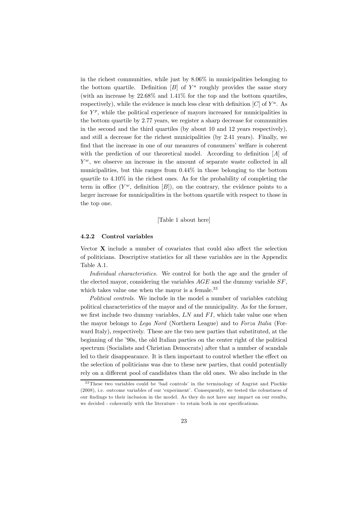in the richest communities, while just by 8.06% in municipalities belonging to the bottom quartile. Definition  $[B]$  of  $Y^a$  roughly provides the same story (with an increase by 22.68% and 1.41% for the top and the bottom quartiles, respectively), while the evidence is much less clear with definition  $[C]$  of  $Y^a$ . As for  $Y^p$ , while the political experience of mayors increased for municipalities in the bottom quartile by 2.77 years, we register a sharp decrease for communities in the second and the third quartiles (by about 10 and 12 years respectively), and still a decrease for the richest municipalities (by 2.41 years). Finally, we find that the increase in one of our measures of consumers' welfare is coherent with the prediction of our theoretical model. According to definition [A] of  $Y^w$ , we observe an increase in the amount of separate waste collected in all municipalities, but this ranges from 0.44% in those belonging to the bottom quartile to 4.10% in the richest ones. As for the probability of completing the term in office  $(Y^w$ , definition  $[B]$ ), on the contrary, the evidence points to a larger increase for municipalities in the bottom quartile with respect to those in the top one.

#### [Table 1 about here]

#### 4.2.2 Control variables

Vector X include a number of covariates that could also affect the selection of politicians. Descriptive statistics for all these variables are in the Appendix Table A.1.

Individual characteristics. We control for both the age and the gender of the elected mayor, considering the variables  $AGE$  and the dummy variable  $SF$ , which takes value one when the mayor is a female.<sup>33</sup>

Political controls. We include in the model a number of variables catching political characteristics of the mayor and of the municipality. As for the former, we first include two dummy variables,  $LN$  and  $FI$ , which take value one when the mayor belongs to Lega Nord (Northern League) and to Forza Italia (Forward Italy), respectively. These are the two new parties that substituted, at the beginning of the '90s, the old Italian parties on the center right of the political spectrum (Socialists and Christian Democrats) after that a number of scandals led to their disappearance. It is then important to control whether the effect on the selection of politicians was due to these new parties, that could potentially rely on a different pool of candidates than the old ones. We also include in the

<sup>3 3</sup>These two variables could be 'bad controls' in the terminology of Angrist and Pischke (2008), i.e. outcome variables of our 'experiment'. Consequently, we tested the robustness of our findings to their inclusion in the model. As they do not have any impact on our results, we decided - coherently with the literature - to retain both in our specifications.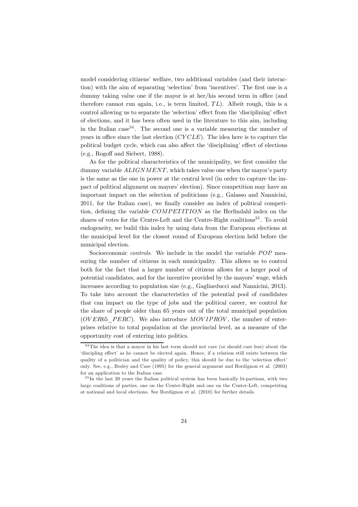model considering citizens' welfare, two additional variables (and their interaction) with the aim of separating 'selection' from 'incentives'. The first one is a dummy taking value one if the mayor is at her/his second term in office (and therefore cannot run again, i.e., is term limited,  $TL$ ). Albeit rough, this is a control allowing us to separate the 'selection' effect from the 'disciplining' effect of elections, and it has been often used in the literature to this aim, including in the Italian case<sup>34</sup>. The second one is a variable measuring the number of years in office since the last election (CY CLE). The idea here is to capture the political budget cycle, which can also affect the 'disciplining' effect of elections (e.g., Rogoff and Siebert, 1988).

As for the political characteristics of the municipality, we first consider the dummy variable  $ALIGNMENT$ , which takes value one when the mayor's party is the same as the one in power at the central level (in order to capture the impact of political alignment on mayors' election). Since competition may have an important impact on the selection of politicians (e.g., Galasso and Nannicini, 2011, for the Italian case), we finally consider an index of political competition, defining the variable COMPETITION as the Herfindahl index on the shares of votes for the Centre-Left and the Centre-Right coalitions<sup>35</sup>. To avoid endogeneity, we build this index by using data from the European elections at the municipal level for the closest round of European election held before the municipal election.

Socioeconomic *controls*. We include in the model the variable  $POP$  measuring the number of citizens in each municipality. This allows us to control both for the fact that a larger number of citizens allows for a larger pool of potential candidates, and for the incentive provided by the mayors' wage, which increases according to population size (e.g., Gagliarducci and Nannicini, 2013). To take into account the characteristics of the potential pool of candidates that can impact on the type of jobs and the political career, we control for the share of people older than 65 years out of the total municipal population  $(OVER65$   $PERC)$ . We also introduce  $MOVIP ROV$ , the number of enterprises relative to total population at the provincial level, as a measure of the opportunity cost of entering into politics.

<sup>&</sup>lt;sup>34</sup>The idea is that a mayor in his last term should not care (or should care less) about the 'discipling effect' as he cannot be elected again. Hence, if a relation still exists between the quality of a politician and the quality of policy, this should be due to the 'selection effect' only. See, e.g., Besley and Case (1995) for the general argument and Bordignon et al. (2003) for an application to the Italian case.

 $35 \text{ In the last 20 years the Italian political system has been basically bi-partisan, with two$ large coalitions of parties, one on the Center-Right and one on the Center-Left, competiting at national and local elections. See Bordignon et al. (2010) for further details.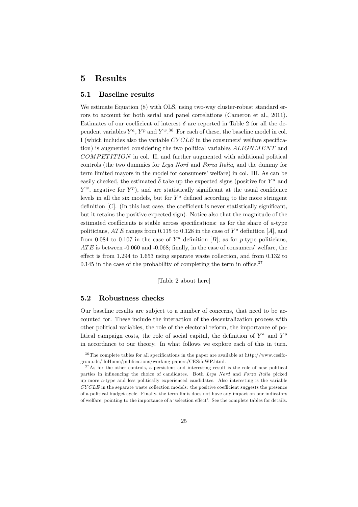# 5 Results

## 5.1 Baseline results

We estimate Equation  $(8)$  with OLS, using two-way cluster-robust standard errors to account for both serial and panel correlations (Cameron et al., 2011). Estimates of our coefficient of interest  $\delta$  are reported in Table 2 for all the dependent variables  $Y^a$ ,  $Y^p$  and  $Y^w$ .<sup>36</sup> For each of these, the baseline model in col. I (which includes also the variable CY CLE in the consumers' welfare specification) is augmented considering the two political variables ALIGNMENT and  $COMPET ITION$  in col. II, and further augmented with additional political controls (the two dummies for Lega Nord and Forza Italia, and the dummy for term limited mayors in the model for consumers' welfare) in col. III. As can be easily checked, the estimated  $\widehat{\delta}$  take up the expected signs (positive for  $Y^a$  and  $Y^w$ , negative for  $Y^p$ ), and are statistically significant at the usual confidence levels in all the six models, but for  $Y^a$  defined according to the more stringent definition  $[C]$ . (In this last case, the coefficient is never statistically significant, but it retains the positive expected sign). Notice also that the magnitude of the estimated coefficients is stable across specifications: as for the share of a-type politicians, ATE ranges from 0.115 to 0.128 in the case of  $Y^a$  definition [A], and from 0.084 to 0.107 in the case of  $Y^a$  definition [B]; as for p-type politicians,  $ATE$  is between  $-0.060$  and  $-0.068$ ; finally, in the case of consumers' welfare, the effect is from 1.294 to 1.653 using separate waste collection, and from 0.132 to  $0.145$  in the case of the probability of completing the term in office.<sup>37</sup>

[Table 2 about here]

#### 5.2 Robustness checks

Our baseline results are subject to a number of concerns, that need to be accounted for. These include the interaction of the decentralization process with other political variables, the role of the electoral reform, the importance of political campaign costs, the role of social capital, the definition of  $Y^a$  and  $Y^p$ in accordance to our theory. In what follows we explore each of this in turn.

 $36$ The complete tables for all specifications in the paper are available at http://www.cesifogroup.de/ifoHome/publications/working-papers/CESifoWP.html.

 $37$ As for the other controls, a persistent and interesting result is the role of new political parties in influencing the choice of candidates. Both Lega Nord and Forza Italia picked up more a-type and less politically experienced candidates. Also interesting is the variable CY CLE in the separate waste collection models: the positive coefficient suggests the presence of a political budget cycle. Finally, the term limit does not have any impact on our indicators of welfare, pointing to the importance of a 'selection effect'. See the complete tables for details.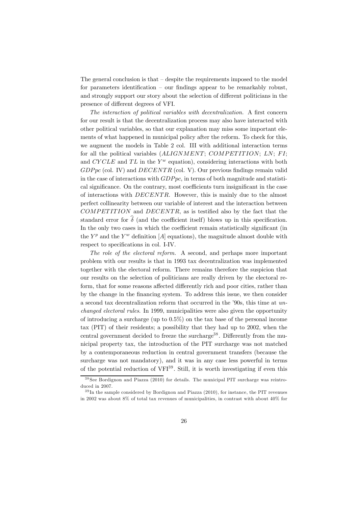The general conclusion is that  $-$  despite the requirements imposed to the model for parameters identification — our findings appear to be remarkably robust, and strongly support our story about the selection of different politicians in the presence of different degrees of VFI.

The interaction of political variables with decentralization. A first concern for our result is that the decentralization process may also have interacted with other political variables, so that our explanation may miss some important elements of what happened in municipal policy after the reform. To check for this, we augment the models in Table 2 col. III with additional interaction terms for all the political variables  $(ALIGNMENT; COMPETITION; LN; FI;$ and  $CYCLE$  and  $TL$  in the  $Y^w$  equation), considering interactions with both  $GDPpc$  (col. IV) and  $DECENTR$  (col. V). Our previous findings remain valid in the case of interactions with  $GDPpc$ , in terms of both magnitude and statistical significance. On the contrary, most coefficients turn insignificant in the case of interactions with DECENTR. However, this is mainly due to the almost perfect collinearity between our variable of interest and the interaction between  $COMPET ITION$  and  $DECENTR$ , as is testified also by the fact that the standard error for  $\hat{\delta}$  (and the coefficient itself) blows up in this specification. In the only two cases in which the coefficient remain statistically significant (in the  $Y^p$  and the  $Y^w$  definition [A] equations), the magnitude almost double with respect to specifications in col. I-IV.

The role of the electoral reform. A second, and perhaps more important problem with our results is that in 1993 tax decentralization was implemented together with the electoral reform. There remains therefore the suspicion that our results on the selection of politicians are really driven by the electoral reform, that for some reasons affected differently rich and poor cities, rather than by the change in the financing system. To address this issue, we then consider a second tax decentralization reform that occurred in the '90s, this time at unchanged electoral rules. In 1999, municipalities were also given the opportunity of introducing a surcharge (up to 0.5%) on the tax base of the personal income tax (PIT) of their residents; a possibility that they had up to 2002, when the central government decided to freeze the surcharge<sup>38</sup>. Differently from the municipal property tax, the introduction of the PIT surcharge was not matched by a contemporaneous reduction in central government transfers (because the surcharge was not mandatory), and it was in any case less powerful in terms of the potential reduction of  $VFI<sup>39</sup>$ . Still, it is worth investigating if even this

 $38$  See Bordignon and Piazza (2010) for details. The municipal PIT surcharge was reintroduced in 2007.

 $39 \text{ In the sample considered by Bordignon and Piazza (2010), for instance, the PIT revenues$ in 2002 was about 8% of total tax revenues of municipalities, in contrast with about 40% for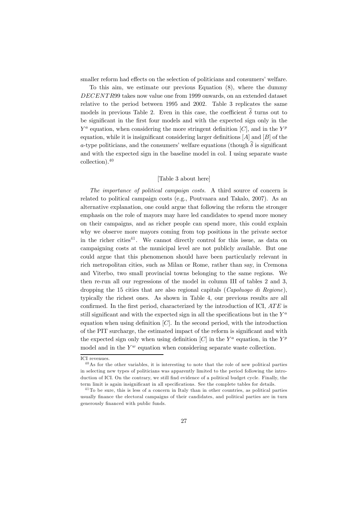smaller reform had effects on the selection of politicians and consumers' welfare.

To this aim, we estimate our previous Equation (8), where the dummy DECENTR99 takes now value one from 1999 onwards, on an extended dataset relative to the period between 1995 and 2002. Table 3 replicates the same models in previous Table 2. Even in this case, the coefficient  $\hat{\delta}$  turns out to be significant in the first four models and with the expected sign only in the  $Y^a$  equation, when considering the more stringent definition [C], and in the  $Y^p$ equation, while it is insignificant considering larger definitions  $[A]$  and  $[B]$  of the a-type politicians, and the consumers' welfare equations (though  $\delta$  is significant and with the expected sign in the baseline model in col. I using separate waste collection).<sup>40</sup>

#### [Table 3 about here]

The importance of political campaign costs. A third source of concern is related to political campaign costs (e.g., Poutvaara and Takalo, 2007). As an alternative explanation, one could argue that following the reform the stronger emphasis on the role of mayors may have led candidates to spend more money on their campaigns, and as richer people can spend more, this could explain why we observe more mayors coming from top positions in the private sector in the richer cities<sup>41</sup>. We cannot directly control for this issue, as data on campaigning costs at the municipal level are not publicly available. But one could argue that this phenomenon should have been particularly relevant in rich metropolitan cities, such as Milan or Rome, rather than say, in Cremona and Viterbo, two small provincial towns belonging to the same regions. We then re-run all our regressions of the model in column III of tables 2 and 3, dropping the 15 cities that are also regional capitals (*Capoluogo di Regione*), typically the richest ones. As shown in Table 4, our previous results are all confirmed. In the first period, characterized by the introduction of ICI,  $ATE$  is still significant and with the expected sign in all the specifications but in the  $Y^a$ equation when using definition  $[C]$ . In the second period, with the introduction of the PIT surcharge, the estimated impact of the reform is significant and with the expected sign only when using definition  $[C]$  in the  $Y^a$  equation, in the  $Y^p$ model and in the  $Y^w$  equation when considering separate waste collection.

ICI revenues.

<sup>4 0</sup>As for the other variables, it is interesting to note that the role of new political parties in selecting new types of politicians was apparently limited to the period following the introduction of ICI. On the contrary, we still find evidence of a political budget cycle. Finally, the term limit is again insignificant in all specifications. See the complete tables for details.

 $41$ To be sure, this is less of a concern in Italy than in other countries, as political parties usually finance the electoral campaigns of their candidates, and political parties are in turn generously financed with public funds.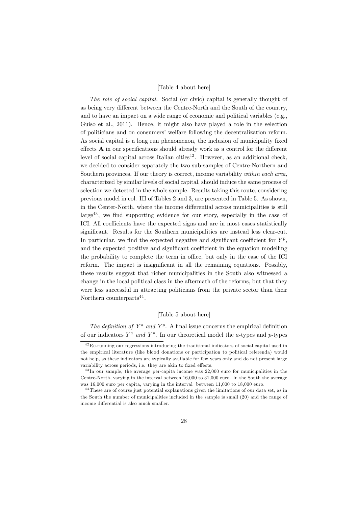#### [Table 4 about here]

The role of social capital. Social (or civic) capital is generally thought of as being very different between the Centre-North and the South of the country, and to have an impact on a wide range of economic and political variables (e.g., Guiso et al., 2011). Hence, it might also have played a role in the selection of politicians and on consumers' welfare following the decentralization reform. As social capital is a long run phenomenon, the inclusion of municipality fixed effects A in our specifications should already work as a control for the different level of social capital across Italian cities $42$ . However, as an additional check, we decided to consider separately the two sub-samples of Centre-Northern and Southern provinces. If our theory is correct, income variability within each area, characterized by similar levels of social capital, should induce the same process of selection we detected in the whole sample. Results taking this route, considering previous model in col. III of Tables 2 and 3, are presented in Table 5. As shown, in the Center-North, where the income differential across municipalities is still large43 , we find supporting evidence for our story, especially in the case of ICI. All coefficients have the expected signs and are in most cases statistically significant. Results for the Southern municipalities are instead less clear-cut. In particular, we find the expected negative and significant coefficient for  $Y^p$ , and the expected positive and significant coefficient in the equation modelling the probability to complete the term in office, but only in the case of the ICI reform. The impact is insignificant in all the remaining equations. Possibly, these results suggest that richer municipalities in the South also witnessed a change in the local political class in the aftermath of the reforms, but that they were less successful in attracting politicians from the private sector than their Northern counterparts $44$ .

#### [Table 5 about here]

The definition of  $Y^a$  and  $Y^p$ . A final issue concerns the empirical definition of our indicators  $Y^a$  and  $Y^p$ . In our theoretical model the a-types and p-types

<sup>4 2</sup>Re-running our regressions introducing the traditional indicators of social capital used in the empirical literature (like blood donations or participation to political referenda) would not help, as these indicators are typically available for few years only and do not present large variability across periods, i.e. they are akin to fixed effects.

<sup>&</sup>lt;sup>43</sup> In our sample, the average per-capita income was 22,000 euro for municipalities in the Centre-North, varying in the interval between 16,000 to 31,000 euro. In the South the average was 16,000 euro per capita, varying in the interval between 11,000 to 18,000 euro.

<sup>&</sup>lt;sup>44</sup> These are of course just potential explanations given the limitations of our data set, as in the South the number of municipalities included in the sample is small (20) and the range of income differential is also much smaller.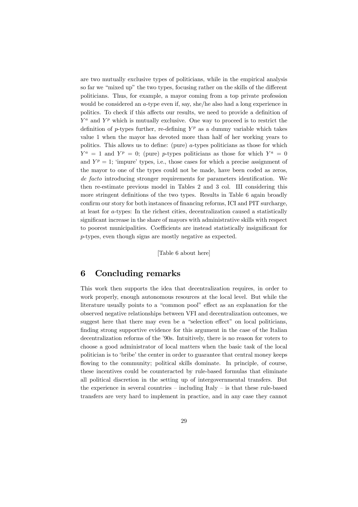are two mutually exclusive types of politicians, while in the empirical analysis so far we "mixed up" the two types, focusing rather on the skills of the different politicians. Thus, for example, a mayor coming from a top private profession would be considered an a-type even if, say, she/he also had a long experience in politics. To check if this affects our results, we need to provide a definition of  $Y^a$  and  $Y^p$  which is mutually exclusive. One way to proceed is to restrict the definition of p-types further, re-defining  $Y^p$  as a dummy variable which takes value 1 when the mayor has devoted more than half of her working years to politics. This allows us to define: (pure) a-types politicians as those for which  $Y^a = 1$  and  $Y^p = 0$ ; (pure) p-types politicians as those for which  $Y^a = 0$ and  $Y^p = 1$ ; 'impure' types, i.e., those cases for which a precise assignment of the mayor to one of the types could not be made, have been coded as zeros, de facto introducing stronger requirements for parameters identification. We then re-estimate previous model in Tables 2 and 3 col. III considering this more stringent definitions of the two types. Results in Table 6 again broadly confirm our story for both instances of financing reforms, ICI and PIT surcharge, at least for a-types: In the richest cities, decentralization caused a statistically significant increase in the share of mayors with administrative skills with respect to poorest municipalities. Coefficients are instead statistically insignificant for p-types, even though signs are mostly negative as expected.

[Table 6 about here]

# 6 Concluding remarks

This work then supports the idea that decentralization requires, in order to work properly, enough autonomous resources at the local level. But while the literature usually points to a "common pool" effect as an explanation for the observed negative relationships between VFI and decentralization outcomes, we suggest here that there may even be a "selection effect" on local politicians, finding strong supportive evidence for this argument in the case of the Italian decentralization reforms of the '90s. Intuitively, there is no reason for voters to choose a good administrator of local matters when the basic task of the local politician is to 'bribe' the center in order to guarantee that central money keeps flowing to the community; political skills dominate. In principle, of course, these incentives could be counteracted by rule-based formulas that eliminate all political discretion in the setting up of intergovernmental transfers. But the experience in several countries — including Italy — is that these rule-based transfers are very hard to implement in practice, and in any case they cannot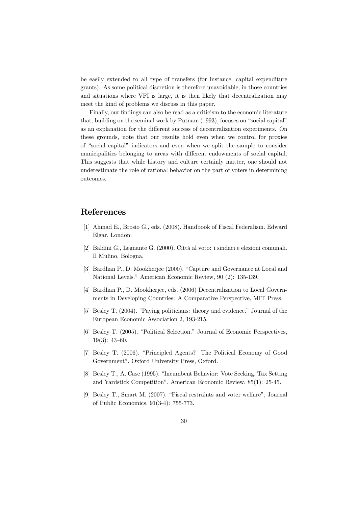be easily extended to all type of transfers (for instance, capital expenditure grants). As some political discretion is therefore unavoidable, in those countries and situations where VFI is large, it is then likely that decentralization may meet the kind of problems we discuss in this paper.

Finally, our findings can also be read as a criticism to the economic literature that, building on the seminal work by Putnam (1993), focuses on "social capital" as an explanation for the different success of decentralization experiments. On these grounds, note that our results hold even when we control for proxies of "social capital" indicators and even when we split the sample to consider municipalities belonging to areas with different endowments of social capital. This suggests that while history and culture certainly matter, one should not underestimate the role of rational behavior on the part of voters in determining outcomes.

# References

- [1] Ahmad E., Brosio G., eds. (2008). Handbook of Fiscal Federalism. Edward Elgar, London.
- [2] Baldini G., Legnante G. (2000). Città al voto: i sindaci e elezioni comunali. Il Mulino, Bologna.
- [3] Bardhan P., D. Mookherjee (2000). "Capture and Governance at Local and National Levels." American Economic Review, 90 (2): 135-139.
- [4] Bardhan P., D. Mookherjee, eds. (2006) Decentralization to Local Governments in Developing Countries: A Comparative Perspective, MIT Press.
- [5] Besley T. (2004). "Paying politicians: theory and evidence." Journal of the European Economic Association 2, 193-215.
- [6] Besley T. (2005). "Political Selection." Journal of Economic Perspectives, 19(3): 43—60.
- [7] Besley T. (2006). "Principled Agents? The Political Economy of Good Government". Oxford University Press, Oxford.
- [8] Besley T., A. Case (1995). "Incumbent Behavior: Vote Seeking, Tax Setting and Yardstick Competition", American Economic Review, 85(1): 25-45.
- [9] Besley T., Smart M. (2007). "Fiscal restraints and voter welfare", Journal of Public Economics, 91(3-4): 755-773.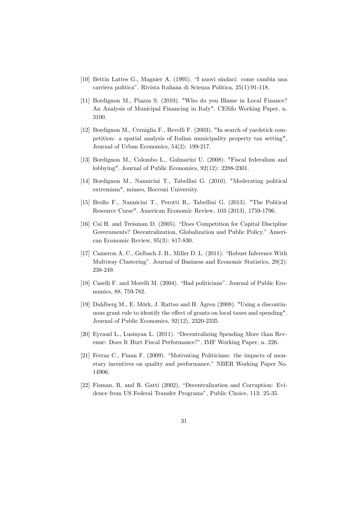- [10] Bettin Lattes G., Magnier A. (1995). "I nuovi sindaci: come cambia una carriera politica". Rivista Italiana di Scienza Politica, 25(1):91-118.
- [11] Bordignon M., Piazza S. (2010). "Who do you Blame in Local Finance? An Analysis of Municipal Financing in Italy". CESifo Working Paper, n. 3100.
- [12] Bordignon M., Cerniglia F., Revelli F. (2003). "In search of yardstick competition: a spatial analysis of Italian municipality property tax setting", Journal of Urban Economics, 54(2): 199-217.
- [13] Bordignon M., Colombo L., Galmarini U. (2008). "Fiscal federalism and lobbying". Journal of Public Economics, 92(12): 2288-2301.
- [14] Bordignon M., Nannicini T., Tabellini G. (2010). "Moderating political extremism", mimeo, Bocconi University.
- [15] Brollo F., Nannicini T., Perotti R., Tabellini G. (2013). "The Political Resource Curse". American Economic Review, 103 (2013), 1759-1796.
- [16] Cai H. and Treisman D. (2005). "Does Competition for Capital Discipline Governments? Decentralization, Globalization and Public Policy." American Economic Review, 95(3): 817-830.
- [17] Cameron A. C., Gelbach J. B., Miller D. L. (2011). "Robust Inference With Multiway Clustering". Journal of Business and Economic Statistics, 29(2): 238-249.
- [18] Caselli F. and Morelli M. (2004). "Bad politicians". Journal of Public Economics, 88, 759-782.
- [19] Dahlberg M., E. Mörk, J. Rattsø and H. Ågren (2008). "Using a discontinuous grant rule to identify the effect of grants on local taxes and spending". Journal of Public Economics, 92(12), 2320-2335.
- [20] Eyraud L., Lusinyan L. (2011). "Decentralizing Spending More than Revenue: Does It Hurt Fiscal Performance?", IMF Working Paper, n. 226.
- [21] Ferraz C., Finan F. (2009). "Motivating Politicians: the impacts of monetary incentives on quality and performance." NBER Working Paper No. 14906.
- [22] Fisman, R. and R. Gatti (2002), "Decentralization and Corruption: Evidence from US Federal Transfer Programs", Public Choice, 113: 25-35.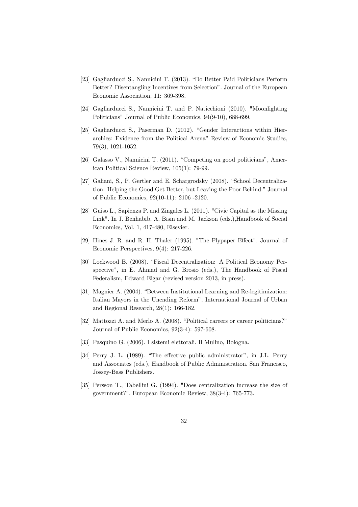- [23] Gagliarducci S., Nannicini T. (2013). "Do Better Paid Politicians Perform Better? Disentangling Incentives from Selection". Journal of the European Economic Association, 11: 369-398.
- [24] Gagliarducci S., Nannicini T. and P. Naticchioni (2010). "Moonlighting Politicians" Journal of Public Economics, 94(9-10), 688-699.
- [25] Gagliarducci S., Paserman D. (2012). "Gender Interactions within Hierarchies: Evidence from the Political Arena" Review of Economic Studies, 79(3), 1021-1052.
- [26] Galasso V., Nannicini T. (2011). "Competing on good politicians", American Political Science Review, 105(1): 79-99.
- [27] Galiani, S., P. Gertler and E. Schargrodsky (2008). "School Decentralization: Helping the Good Get Better, but Leaving the Poor Behind." Journal of Public Economics, 92(10-11): 2106 -2120.
- [28] Guiso L., Sapienza P. and Zingales L. (2011). "Civic Capital as the Missing Link". In J. Benhabib, A. Bisin and M. Jackson (eds.),Handbook of Social Economics, Vol. 1, 417-480, Elsevier.
- [29] Hines J. R. and R. H. Thaler (1995). "The Flypaper Effect". Journal of Economic Perspectives, 9(4): 217-226.
- [30] Lockwood B. (2008). "Fiscal Decentralization: A Political Economy Perspective", in E. Ahmad and G. Brosio (eds.), The Handbook of Fiscal Federalism, Edward Elgar (revised version 2013, in press).
- [31] Magnier A. (2004). "Between Institutional Learning and Re-legitimization: Italian Mayors in the Unending Reform". International Journal of Urban and Regional Research, 28(1): 166-182.
- [32] Mattozzi A. and Merlo A. (2008). "Political careers or career politicians?" Journal of Public Economics, 92(3-4): 597-608.
- [33] Pasquino G. (2006). I sistemi elettorali. Il Mulino, Bologna.
- [34] Perry J. L. (1989). "The effective public administrator", in J.L. Perry and Associates (eds.), Handbook of Public Administration. San Francisco, Jossey-Bass Publishers.
- [35] Persson T., Tabellini G. (1994). "Does centralization increase the size of government?". European Economic Review, 38(3-4): 765-773.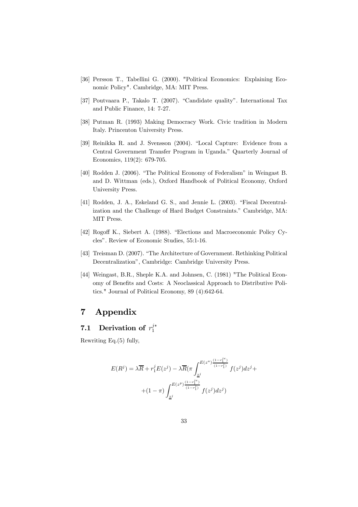- [36] Persson T., Tabellini G. (2000). "Political Economics: Explaining Economic Policy". Cambridge, MA: MIT Press.
- [37] Poutvaara P., Takalo T. (2007). "Candidate quality". International Tax and Public Finance, 14: 7-27.
- [38] Putman R. (1993) Making Democracy Work. Civic tradition in Modern Italy. Princenton University Press.
- [39] Reinikka R. and J. Svensson (2004). "Local Capture: Evidence from a Central Government Transfer Program in Uganda." Quarterly Journal of Economics, 119(2): 679-705.
- [40] Rodden J. (2006). "The Political Economy of Federalism" in Weingast B. and D. Wittman (eds.), Oxford Handbook of Political Economy, Oxford University Press.
- [41] Rodden, J. A., Eskeland G. S., and Jennie L. (2003). "Fiscal Decentralization and the Challenge of Hard Budget Constraints." Cambridge, MA: MIT Press.
- [42] Rogoff K., Siebert A. (1988). "Elections and Macroeconomic Policy Cycles". Review of Economic Studies, 55:1-16.
- [43] Treisman D. (2007). "The Architecture of Government. Rethinking Political Decentralization", Cambridge: Cambridge University Press.
- [44] Weingast, B.R., Sheple K.A. and Johnsen, C. (1981) "The Political Economy of Benefits and Costs: A Neoclassical Approach to Distributive Politics." Journal of Political Economy, 89 (4):642-64.

# 7 Appendix

# 7.1 Derivation of  $r_1^{j*}$

Rewriting Eq.(5) fully,

$$
E(R^{j}) = \lambda \overline{R} + r_{1}^{j} E(z^{j}) - \lambda \overline{R} (\pi \int_{\underline{z}^{j}}^{E(z^{a})\frac{(1-r_{1}^{j}e)}{(1-r_{1}^{j})}} f(z^{j}) dz^{j} +
$$

$$
+ (1 - \pi) \int_{\underline{z}^{j}}^{E(z^{p})\frac{(1-r_{1}^{j}e)}{(1-r_{1}^{j})}} f(z^{j}) dz^{j})
$$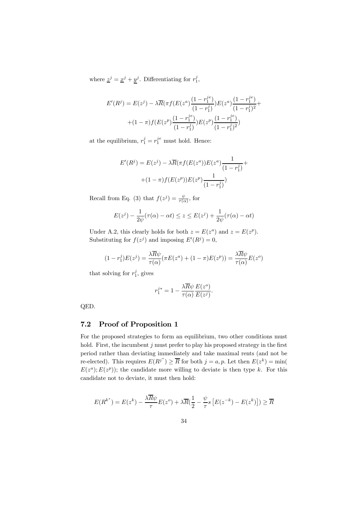where  $\underline{z}^j = \underline{x}^j + \underline{y}^j$ . Differentiating for  $r_1^j$ ,

$$
E'(R^{j}) = E(z^{j}) - \lambda \overline{R}(\pi f(E(z^{a}) \frac{(1 - r_{1}^{j_{e}})}{(1 - r_{1}^{j})}) E(z^{a}) \frac{(1 - r_{1}^{j_{e}})}{(1 - r_{1}^{j})^{2}} + (1 - \pi) f(E(z^{p}) \frac{(1 - r_{1}^{j_{e}})}{(1 - r_{1}^{j})}) E(z^{p}) \frac{(1 - r_{1}^{j_{e}})}{(1 - r_{1}^{j})^{2}})
$$

at the equilibrium,  $r_1^j = r_1^{je}$  must hold. Hence:

$$
E'(R^{j}) = E(z^{j}) - \lambda \overline{R}(\pi f(E(z^{a}))E(z^{a}) \frac{1}{(1 - r_{1}^{j})} + (1 - \pi)f(E(z^{p}))E(z^{p}) \frac{1}{(1 - r_{1}^{j})})
$$

Recall from Eq. (3) that  $f(z^j) = \frac{\psi}{\tau(\alpha)}$ , for

$$
E(z^{j}) - \frac{1}{2\psi}(\tau(\alpha) - \alpha t) \le z \le E(z^{j}) + \frac{1}{2\psi}(\tau(\alpha) - \alpha t)
$$

Under A.2, this clearly holds for both  $z = E(z^a)$  and  $z = E(z^p)$ . Substituting for  $f(z^j)$  and imposing  $E'(R^j) = 0$ ,

$$
(1 - r_1^j)E(z^j) = \frac{\lambda \overline{R}\psi}{\tau(\alpha)}(\pi E(z^a) + (1 - \pi)E(z^p)) = \frac{\lambda \overline{R}\psi}{\tau(\alpha)}E(z^o)
$$

that solving for  $r_1^j$ , gives

$$
r_1^{j*} = 1 - \frac{\lambda \overline{R} \psi}{\tau(\alpha)} \frac{E(z^o)}{E(z^j)}.
$$

QED.

## 7.2 Proof of Proposition 1

For the proposed strategies to form an equilibrium, two other conditions must hold. First, the incumbent  $j$  must prefer to play his proposed strategy in the first period rather than deviating immediately and take maximal rents (and not be re-elected). This requires  $E(R^{j^*}) \geq \overline{R}$  for both  $j = a, p$ . Let then  $E(z^k) = \min(\frac{1}{\overline{R}})$  $E(z<sup>a</sup>); E(z<sup>p</sup>)$ ; the candidate more willing to deviate is then type k. For this candidate not to deviate, it must then hold:

$$
E(R^{k^*}) = E(z^k) - \frac{\lambda \overline{R}\psi}{\tau}E(z^o) + \lambda \overline{R}(\frac{1}{2} - \frac{\psi}{\tau}s\left[E(z^{-k}) - E(z^k)\right]) \ge \overline{R}
$$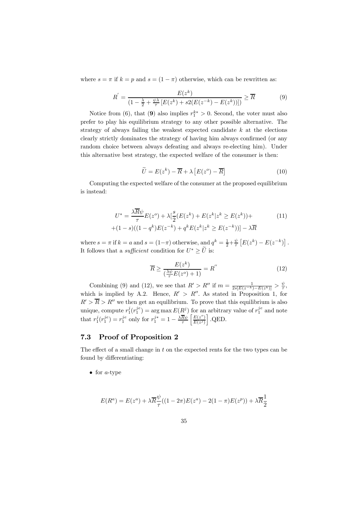where  $s = \pi$  if  $k = p$  and  $s = (1 - \pi)$  otherwise, which can be rewritten as:

$$
R^{'} = \frac{E(z^{k})}{(1 - \frac{\lambda}{2} + \frac{\psi \lambda}{\tau} [E(z^{k}) + s2(E(z^{-k}) - E(z^{k}))])} \ge \overline{R}
$$
(9)

Notice from (6), that (9) also implies  $r_1^{k*} > 0$ . Second, the voter must also prefer to play his equilibrium strategy to any other possible alternative. The strategy of always failing the weakest expected candidate  $k$  at the elections clearly strictly dominates the strategy of having him always confirmed (or any random choice between always defeating and always re-electing him). Under this alternative best strategy, the expected welfare of the consumer is then:

$$
\widetilde{U} = E(z^k) - \overline{R} + \lambda \left[ E(z^o) - \overline{R} \right]
$$
\n(10)

Computing the expected welfare of the consumer at the proposed equilibrium is instead:

$$
U^* = \frac{\lambda \overline{R} \psi}{\tau} E(z^o) + \lambda \left[ \frac{s}{2} (E(z^k) + E(z^k | z^k \ge E(z^k)) + (1 - s)((1 - q^k)E(z^{-k}) + q^k E(z^k | z^k \ge E(z^{-k})) \right] - \lambda \overline{R}
$$
\n(11)

where  $s = \pi$  if  $k = a$  and  $s = (1 - \pi)$  otherwise, and  $q^k = \frac{1}{2} + \frac{\psi}{\tau} [E(z^k) - E(z^{-k})]$ . It follows that a *sufficient* condition for  $U^* \ge \tilde{U}$  is:

$$
\overline{R} \ge \frac{E(z^k)}{\left(\frac{\lambda \psi}{\tau} E(z^o) + 1\right)} = R^{''}
$$
\n(12)

Combining (9) and (12), we see that  $R' > R''$  if  $m = \frac{1}{2s[E(z^{-k})-E(z^k)]} > \frac{\psi}{\tau}$ , which is implied by A.2. Hence,  $R' > R''$ . As stated in Proposition 1, for  $R' > \overline{R} > R''$  we then get an equilibrium. To prove that this equilibrium is also unique, compute  $r_1^j(r_1^{j_e}) = \arg \max E(R^j)$  for an arbitrary value of  $r_1^{j_e}$  and note that  $r_1^j(r_1^{je}) = r_1^{je}$  only for  $r_1^{j*} = 1 - \frac{\lambda \overline{R} \psi}{\tau}$  $E(z^{\circ})$  $E(z^j)$ i .QED.

## 7.3 Proof of Proposition 2

The effect of a small change in t on the expected rents for the two types can be found by differentiating:

• for  $a$ -type

$$
E(R^{a}) = E(z^{a}) + \lambda \overline{R} \frac{\psi}{\tau} ((1 - 2\pi)E(z^{a}) - 2(1 - \pi)E(z^{p})) + \lambda \overline{R} \frac{1}{2}
$$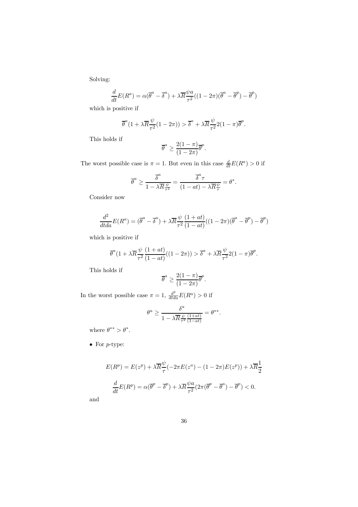Solving:

$$
\frac{d}{dt}E(R^a) = \alpha(\overline{\theta}^a - \overline{\delta}^a) + \lambda \overline{R}\frac{\psi a}{\tau^2}((1 - 2\pi)(\overline{\theta}^a - \overline{\theta}^p) - \overline{\theta}^p)
$$

which is positive if

$$
\overline{\theta}^{a}(1+\lambda \overline{R}\frac{\psi}{\tau^{2}}(1-2\pi)) > \overline{\delta}^{a} + \lambda \overline{R}\frac{\psi}{\tau^{2}}2(1-\pi)\overline{\theta}^{p}.
$$

This holds if

$$
\overline{\theta}^a \ge \frac{2(1-\pi)}{(1-2\pi)} \overline{\theta}^p.
$$

The worst possible case is  $\pi = 1$ . But even in this case  $\frac{d}{dt}E(R^a) > 0$  if

$$
\overline{\theta}^a \geq \frac{\overline{\delta}^a}{1 - \lambda \overline{R} \frac{\psi}{\tau^2}} = \frac{\overline{\delta}^a \tau}{(1 - at) - \lambda \overline{R} \frac{\psi}{\tau}} = \theta^*.
$$

Consider now

$$
\frac{d^2}{dt da} E(R^a) = (\overline{\theta}^a - \overline{\delta}^a) + \lambda \overline{R} \frac{\psi}{\tau^2} \frac{(1+at)}{(1-at)}((1-2\pi)(\overline{\theta}^a - \overline{\theta}^p) - \overline{\theta}^p)
$$

which is positive if

$$
\overline{\theta}^{a}(1+\lambda \overline{R}\frac{\psi}{\tau^{2}}\frac{(1+at)}{(1-at)}((1-2\pi)) > \overline{\delta}^{a} + \lambda \overline{R}\frac{\psi}{\tau^{2}}2(1-\pi)\overline{\theta}^{p}.
$$

This holds if

$$
\overline{\theta}^a \ge \frac{2(1-\pi)}{(1-2\pi)} \overline{\theta}^p.
$$

In the worst possible case  $\pi = 1$ ,  $\frac{d^2}{dt da} E(R^a) > 0$  if

$$
\theta^a \geq \frac{\delta^a}{1-\lambda \overline{R} \frac{\psi}{\tau^2} \frac{(1+at)}{(1-at)}} = \theta^{**}.
$$

where  $\theta^{**} > \theta^*$ .

 $\bullet\,$  For  $p\text{-type:}$ 

$$
E(R^{p}) = E(z^{p}) + \lambda \overline{R} \frac{\psi}{\tau} (-2\pi E(z^{a}) - (1 - 2\pi)E(z^{p})) + \lambda \overline{R} \frac{1}{2}
$$

$$
\frac{d}{dt} E(R^{p}) = \alpha (\overline{\theta}^{p} - \overline{\delta}^{p}) + \lambda \overline{R} \frac{\psi a}{\tau^{2}} (2\pi (\overline{\theta}^{p} - \overline{\theta}^{a}) - \overline{\theta}^{p}) < 0.
$$

and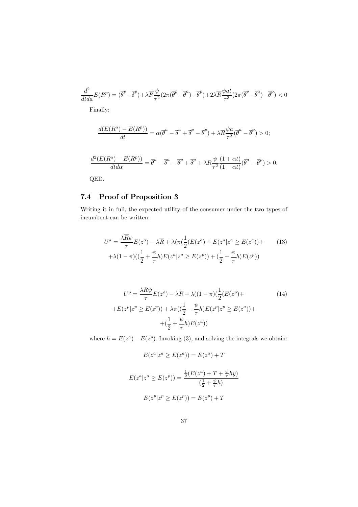$$
\frac{d^2}{dt da} E(R^p) = (\overline{\theta}^p - \overline{\delta}^p) + \lambda \overline{R} \frac{\psi}{\tau^2} (2\pi (\overline{\theta}^p - \overline{\theta}^a) - \overline{\theta}^p) + 2\lambda \overline{R} \frac{\psi at}{\tau^3} (2\pi (\overline{\theta}^p - \overline{\theta}^a) - \overline{\theta}^p) < 0
$$
  
Finally:

$$
\frac{d(E(R^a) - E(R^p))}{dt} = \alpha(\overline{\theta}^a - \overline{\delta}^a + \overline{\delta}^p - \overline{\theta}^p) + \lambda \overline{R} \frac{\psi a}{\tau^2} (\overline{\theta}^a - \overline{\theta}^p) > 0;
$$
  

$$
\frac{d^2(E(R^a) - E(R^p))}{dt d\alpha} = \overline{\theta}^a - \overline{\delta}^a - \overline{\theta}^p + \overline{\delta}^p + \lambda \overline{R} \frac{\psi}{\tau^2} \frac{(1 + \alpha t)}{(1 - \alpha t)} (\overline{\theta}^a - \overline{\theta}^p) > 0.
$$

QED.

# 7.4 Proof of Proposition 3

Writing it in full, the expected utility of the consumer under the two types of incumbent can be written:

$$
U^{a} = \frac{\lambda \overline{R}\psi}{\tau} E(z^{o}) - \lambda \overline{R} + \lambda (\pi (\frac{1}{2}(E(z^{a}) + E(z^{a}|z^{a} \ge E(z^{a}))) +
$$
  
+  $\lambda (1 - \pi)((\frac{1}{2} + \frac{\psi}{\tau}h)E(z^{a}|z^{a} \ge E(z^{p})) + (\frac{1}{2} - \frac{\psi}{\tau}h)E(z^{p}))$  (13)

$$
U^{p} = \frac{\lambda \overline{R}\psi}{\tau}E(z^{o}) - \lambda \overline{R} + \lambda((1-\pi)(\frac{1}{2}(E(z^{p}) +
$$

$$
+E(z^{p}|z^{p} \ge E(z^{p})) + \lambda\pi((\frac{1}{2} - \frac{\psi}{\tau}h)E(z^{p}|z^{p} \ge E(z^{a})) + (\frac{1}{2} + \frac{\psi}{\tau}h)E(z^{a}))
$$
\n
$$
(14)
$$

where  $h = E(z^a) - E(z^p)$ . Invoking (3), and solving the integrals we obtain:

$$
E(z^a | z^a \ge E(z^a)) = E(z^a) + T
$$

$$
E(z^{a}|z^{a} \ge E(z^{p})) = \frac{\frac{1}{2}(E(z^{a}) + T + \frac{\psi}{\tau}hy)}{(\frac{1}{2} + \frac{\psi}{\tau}h)}
$$

$$
E(z^{p}|z^{p} \ge E(z^{p})) = E(z^{p}) + T
$$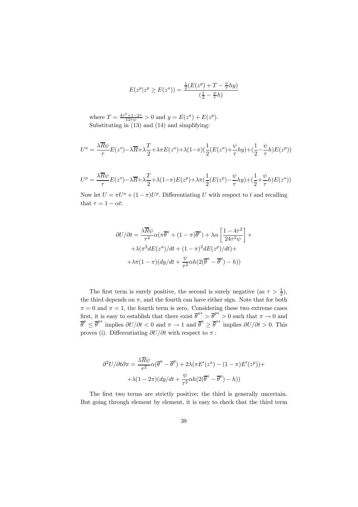$$
E(z^p | z^p \ge E(z^a)) = \frac{\frac{1}{2}(E(z^p) + T - \frac{\psi}{\tau} hy)}{(\frac{1}{2} - \frac{\psi}{\tau} h)}
$$

where  $T = \frac{4\tau^2 + 1 - 2\tau}{12\tau\psi} > 0$  and  $y = E(z^a) + E(z^p)$ . Substituting in (13) and (14) and simplifying:

$$
U^a = \frac{\lambda \overline{R}\psi}{\tau}E(z^o) - \lambda \overline{R} + \lambda \frac{T}{2} + \lambda \pi E(z^a) + \lambda(1-\pi)\left(\frac{1}{2}(E(z^a) + \frac{\psi}{\tau}hy) + \left(\frac{1}{2} - \frac{\psi}{\tau}h\right)E(z^p)\right)
$$

$$
U^{p} = \frac{\lambda \overline{R}\psi}{\tau}E(z^{o}) - \lambda \overline{R} + \lambda \frac{T}{2} + \lambda(1-\pi)E(z^{p}) + \lambda \pi \left(\frac{1}{2}(E(z^{p}) - \frac{\psi}{\tau}hy) + \left(\frac{1}{2} + \frac{\psi}{\tau}h\right)E(z^{a})\right)
$$

Now let  $U = \pi U^a + (1 - \pi)U^p$ . Differentiating U with respect to t and recalling that  $\tau = 1 - \alpha t$ :

$$
\partial U/\partial t = \frac{\lambda \overline{R} \psi}{\tau^2} \alpha (\pi \overline{\theta}^a + (1 - \pi) \overline{\theta}^p) + \lambda \alpha \left[ \frac{1 - 4\tau^2}{24\tau^2 \psi} \right] +
$$

$$
+ \lambda (\pi^2 dE(z^a)/dt + (1 - \pi)^2 dE(z^p)/dt) +
$$

$$
+ \lambda \pi (1 - \pi) (dy/dt + \frac{\psi}{\tau^2} \alpha h(2(\overline{\theta}^a - \overline{\theta}^p) - h))
$$

The first term is surely positive, the second is surely negative (as  $\tau > \frac{1}{2}$ ), the third depends on  $\pi$ , and the fourth can have either sign. Note that for both  $\pi = 0$  and  $\pi = 1$ , the fourth term is zero. Considering these two extreme cases first, it is easy to establish that there exist  $\overline{\theta}^{a*} > \overline{\theta}^{p*} > 0$  such that  $\pi \to 0$  and  $\overline{\theta}^p \leq \overline{\theta}^{p*}$  implies  $\partial U/\partial t < 0$  and  $\pi \to 1$  and  $\overline{\theta}^a \geq \overline{\theta}^{a*}$  implies  $\partial U/\partial t > 0$ . This proves (i). Differentiating  $\partial U/\partial t$  with respect to  $\pi$ :

$$
\partial^2 U/\partial t \partial \pi = \frac{\lambda \overline{R} \psi}{\tau^2} \alpha (\overline{\theta}^a - \overline{\theta}^p) + 2\lambda (\pi E'(z^a) - (1 - \pi) E'(z^p)) + + \lambda (1 - 2\pi) (dy/dt + \frac{\psi}{\tau^2} \alpha h (2(\overline{\theta}^a - \overline{\theta}^p) - h))
$$

The first two terms are strictly positive; the third is generally uncertain. But going through element by element, it is easy to check that the third term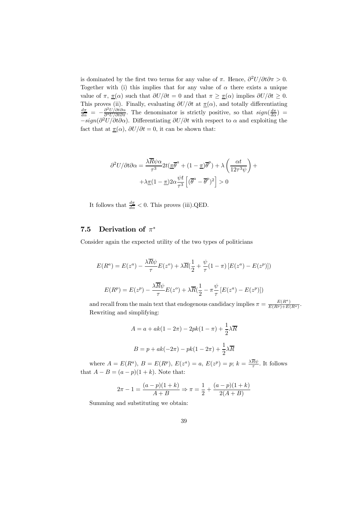is dominated by the first two terms for any value of  $\pi$ . Hence,  $\frac{\partial^2 U}{\partial t \partial \pi} > 0$ . Together with (i) this implies that for any value of  $\alpha$  there exists a unique value of  $\pi$ ,  $\pi(\alpha)$  such that  $\partial U/\partial t = 0$  and that  $\pi \geq \pi(\alpha)$  implies  $\partial U/\partial t \geq 0$ . This proves (ii). Finally, evaluating  $\partial U/\partial t$  at  $\pi(\alpha)$ , and totally differentiating  $\frac{d\pi}{d\alpha} = -\frac{\partial^2 U/\partial t \partial \alpha}{\partial^2 U/\partial t \partial \pi}$ . The denominator is strictly positive, so that  $sign(\frac{d\pi}{d\alpha})$  =  $-sign(\partial^2 U/\partial t\partial\alpha)$ . Differentiating  $\partial U/\partial t$  with respect to  $\alpha$  and exploiting the fact that at  $\pi(\alpha)$ ,  $\partial U/\partial t = 0$ , it can be shown that:

$$
\partial^2 U/\partial t \partial \alpha = \frac{\lambda \overline{R} \psi \alpha}{\tau^3} 2t (\underline{\pi} \overline{\theta}^a + (1 - \underline{\pi}) \overline{\theta}^p) + \lambda \left( \frac{\alpha t}{12 \tau^3 \psi} \right) + + \lambda \underline{\pi} (1 - \underline{\pi}) 2\alpha \frac{\psi t}{\tau^3} \left[ (\overline{\theta}^a - \overline{\theta}^p)^2 \right] > 0
$$

It follows that  $\frac{d\pi}{d\alpha} < 0$ . This proves (iii).QED.

## 7.5 Derivation of  $\pi^*$

Consider again the expected utility of the two types of politicians

$$
E(R^{a}) = E(z^{a}) - \frac{\lambda \overline{R}\psi}{\tau}E(z^{o}) + \lambda \overline{R}(\frac{1}{2} + \frac{\psi}{\tau}(1-\pi)[E(z^{a}) - E(z^{p})])
$$

$$
E(R^{p}) = E(z^{p}) - \frac{\lambda \overline{R}\psi}{\tau}E(z^{o}) + \lambda \overline{R}(\frac{1}{2} - \pi\frac{\psi}{\tau}[E(z^{a}) - E(z^{p})])
$$

and recall from the main text that endogenous candidacy implies  $\pi = \frac{E(R^a)}{E(R^p) + E(R^a)}$ . Rewriting and simplifying:

$$
A = a + ak(1 - 2\pi) - 2pk(1 - \pi) + \frac{1}{2}\lambda \overline{R}
$$

$$
B = p + ak(-2\pi) - pk(1 - 2\pi) + \frac{1}{2}\lambda \overline{R}
$$

where  $A = E(R^a)$ ,  $B = E(R^p)$ ,  $E(z^a) = a$ ,  $E(z^p) = p$ ;  $k = \frac{\lambda R \psi}{\tau}$ . It follows that  $A - B = (a - p)(1 + k)$ . Note that:

$$
2\pi - 1 = \frac{(a-p)(1+k)}{A+B} \Rightarrow \pi = \frac{1}{2} + \frac{(a-p)(1+k)}{2(A+B)}
$$

Summing and substituting we obtain: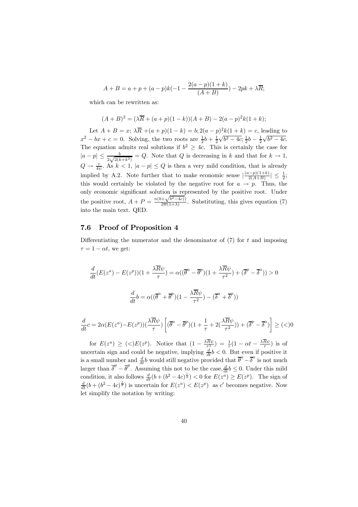$$
A + B = a + p + (a - p)k(-1 - \frac{2(a - p)(1 + k)}{(A + B)}) - 2pk + \lambda \overline{R};
$$

which can be rewritten as:

$$
(A + B)2 = (\lambda \overline{R} + (a + p)(1 - k))(A + B) - 2(a - p)2k(1 + k);
$$

Let  $A + B = x$ ;  $\lambda \overline{R} + (a+p)(1-k) = b$ ;  $2(a-p)^2k(1+k) = c$ , leading to  $x^2 - bx + c = 0$ . Solving, the two roots are  $\frac{1}{2}b + \frac{1}{2}\sqrt{b^2 - 4c}$ ,  $\frac{1}{2}b - \frac{1}{2}\sqrt{b^2 - 4c}$ . The equation admits real solutions if  $b^2 \geq 4c$ . This is certainly the case for  $|a-p| \leq \frac{b}{2\sqrt{2(k+k^2)}} = Q$ . Note that Q is decreasing in k and that for  $k \to 1$ ,  $Q \to \frac{\tau}{4\psi}$ . As  $k < 1$ ,  $|a - p| \le Q$  is then a very mild condition, that is already implied by A.2. Note further that to make economic sense  $\left|\frac{(a-p)(1+k)}{2(A+B)}\right| \leq \frac{1}{2}$ ; this would certainly be violated by the negative root for  $a \rightarrow p$ . Thus, the only economic significant solution is represented by the positive root. Under the positive root,  $A + P = \frac{n(b + \sqrt{b^2 - 4c})}{2\overline{w}(1+\lambda)}$ . Substituting, this gives equation (7) into the main text. QED.

#### 7.6 Proof of Proposition 4

Differentiating the numerator and the denominator of  $(7)$  for t and imposing  $\tau = 1 - \alpha t$ , we get:

$$
\frac{d}{dt}(E(z^a) - E(z^p))(1 + \frac{\lambda \overline{R}\psi}{\tau}) = \alpha((\overline{\theta}^a - \overline{\theta}^p)(1 + \frac{\lambda \overline{R}\psi}{\tau^2}) + (\overline{\delta}^p - \overline{\delta}^a)) > 0
$$

$$
\frac{d}{dt}b = \alpha((\overline{\theta}^a + \overline{\theta}^p)(1 - \frac{\lambda \overline{R}\psi}{\tau^2}) - (\overline{\delta}^a + \overline{\delta}^p))
$$

$$
\frac{d}{dt}c = 2\alpha (E(z^a) - E(z^p))\left(\frac{\lambda \overline{R}\psi}{\tau}\right) \left[ (\overline{\theta}^a - \overline{\theta}^p)(1 + \frac{1}{\tau} + 2(\frac{\lambda \overline{R}\psi}{\tau^2})) + (\overline{\delta}^p - \overline{\delta}^a) \right] \geq (\langle 0
$$

for  $E(z^a) \geq \langle \langle \rangle E(z^p)$ . Notice that  $(1 - \frac{\lambda R\psi}{\tau^2}) = \frac{1}{\tau}(1 - \alpha t - \frac{\lambda R\psi}{\tau})$  is of uncertain sign and could be negative, implying  $\frac{d}{dt}b < 0$ . But even if positive it is a small number and  $\frac{d}{dt}b$  would still negative provided that  $\overline{\theta}^a - \overline{\delta}^a$  is not much larger than  $\overline{\delta}^p - \overline{\theta}^p$ . Assuming this not to be the case,  $\frac{d}{dt} b \leq 0$ . Under this mild condition, it also follows  $\frac{d}{dt}(b + (b^2 - 4c)^{\frac{1}{2}}) < 0$  for  $E(z^a) \ge E(z^p)$ . The sign of  $\frac{d}{dt}(b+(b^2-4c)^{\frac{1}{2}})$  is uncertain for  $E(z^a) < E(z^p)$  as c' becomes negative. Now let simplify the notation by writing: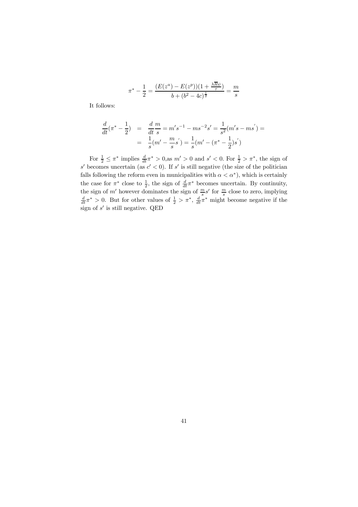$$
\pi^* - \frac{1}{2} = \frac{(E(z^a) - E(z^p))(1 + \frac{\lambda R\psi}{\tau})}{b + (b^2 - 4c)^{\frac{1}{2}}} = \frac{m}{s}
$$

It follows:

$$
\frac{d}{dt}(\pi^* - \frac{1}{2}) = \frac{d}{dt} \frac{m}{s} = m's^{-1} - ms^{-2} s' = \frac{1}{s^2} (m's - ms') =
$$

$$
= \frac{1}{s} (m' - \frac{m}{s} s') = \frac{1}{s} (m' - (\pi^* - \frac{1}{2}) s')
$$

For  $\frac{1}{2} \leq \pi^*$  implies  $\frac{d}{dt} \pi^* > 0$ , as  $m' > 0$  and  $s' < 0$ . For  $\frac{1}{2} > \pi^*$ , the sign of s' becomes uncertain (as  $c' < 0$ ). If s' is still negative (the size of the politician falls following the reform even in municipalities with  $\alpha < \alpha^*$ , which is certainly the case for  $\pi^*$  close to  $\frac{1}{2}$ , the sign of  $\frac{d}{dt}\pi^*$  becomes uncertain. By continuity, the sign of m' however dominates the sign of  $\frac{m}{s}s'$  for  $\frac{m}{s}$  close to zero, implying  $\frac{d}{dt}\pi^* > 0$ . But for other values of  $\frac{1}{2} > \pi^*, \frac{d}{dt}\pi^*$  might become negative if the sign of  $s'$  is still negative. QED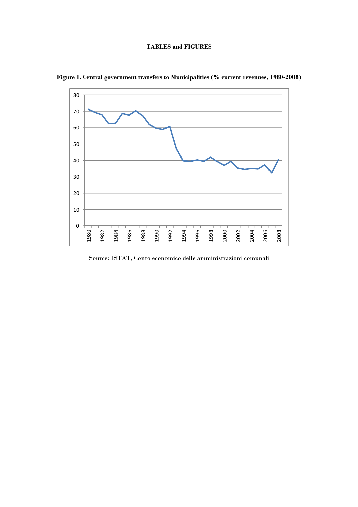## **TABLES and FIGURES**



**Figure 1. Central government transfers to Municipalities (% current revenues, 1980-2008)** 

Source: ISTAT, Conto economico delle amministrazioni comunali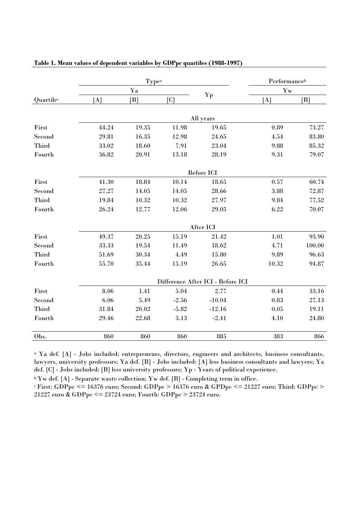|           |       | Typea | Performanceb               |                                   |          |            |  |
|-----------|-------|-------|----------------------------|-----------------------------------|----------|------------|--|
|           |       | Ya    |                            |                                   |          | Yw         |  |
| Quartilec | [A]   | B     | $\lceil \mathrm{C} \rceil$ | Yp                                | [A]      | B          |  |
|           |       |       |                            |                                   |          |            |  |
|           |       |       |                            | All years                         |          |            |  |
| First     | 44.24 | 19.35 | 11.98                      | 19.65                             | 0.89     | 73.27      |  |
| Second    | 29.81 | 16.35 | 12.98                      | 24.65                             | 4.54     | 83.80      |  |
| Third     | 33.02 | 18.60 | 7.91                       | 23.04                             | 9.88     | 85.32      |  |
| Fourth    | 36.82 | 20.91 | 13.18                      | 28.19                             | 9.31     | 79.07      |  |
|           |       |       |                            | <b>Before ICI</b>                 |          |            |  |
| First     | 41.30 | 18.84 | 10.14                      | 18.65                             | 0.57     | 60.74      |  |
| Second    | 27.27 | 14.05 | 14.05                      | 28.66                             | 3.88     | 72.87      |  |
| Third     | 19.84 | 10.32 | 10.32                      | 27.97                             | 9.84     | 77.52      |  |
| Fourth    | 26.24 | 12.77 | 12.06                      | 29.05                             | 6.22     | 70.07      |  |
|           |       |       |                            | After ICI                         |          |            |  |
| First     | 49.37 | 20.25 | 15.19                      | 21.42                             | $1.01\,$ | 93.90      |  |
| Second    | 33.33 | 19.54 | 11.49                      | 18.62                             | 4.71     | $100.00\,$ |  |
| Third     | 51.69 | 30.34 | 4.49                       | 15.80                             | 9.89     | 96.63      |  |
| Fourth    | 55.70 | 35.44 | 15.19                      | 26.65                             | 10.32    | 94.87      |  |
|           |       |       |                            | Difference After ICI - Before ICI |          |            |  |
| First     | 8.06  | 1.41  | 5.04                       | 2.77                              | 0.44     | 33.16      |  |
| Second    | 6.06  | 5.49  | $-2.56$                    | $-10.04$                          | 0.83     | 27.13      |  |
| Third     | 31.84 | 20.02 | $-5.82$                    | $-12.16$                          | 0.05     | 19.11      |  |
| Fourth    | 29.46 | 22.68 | 3.13                       | $-2.41$                           | 4.10     | 24.80      |  |
| Obs.      | 860   | 860   | 860                        | 885                               | 383      | 866        |  |

## **Table 1. Mean values of dependent variables by GDPpc quartiles (1988-1997)**

a Ya def. [A] - Jobs included: entrepreneurs, directors, engineers and architects, business consultants, lawyers, university professors; Ya def. [B] - Jobs included: [A] less business consultants and lawyers; Ya def. [C] - Jobs included: [B] less university professors; Yp - Years of political experience.

b Yw def. [A] - Separate waste collection; Yw def. [B] - Completing term in office.<br>c First: GDPpc <= 16376 euro; Second: GDPpc > 16376 euro & GPDpc <= 21227 euro; Third: GDPpc > 21227 euro & GDPpc <= 23724 euro; Fourth: GDPpc > 23724 euro.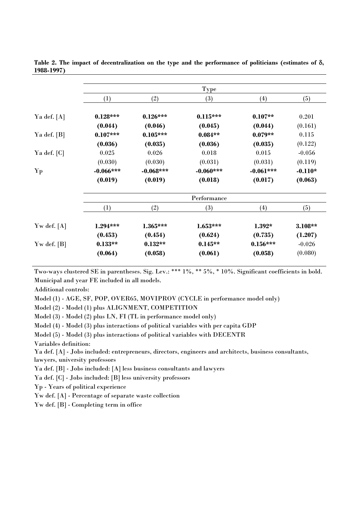|                 | <b>Type</b> |             |             |             |           |  |  |
|-----------------|-------------|-------------|-------------|-------------|-----------|--|--|
|                 | (1)         | (2)         | (3)         | (4)         | (5)       |  |  |
| Ya def. $[A]$   | $0.128***$  | $0.126***$  | $0.115***$  | $0.107**$   | 0.201     |  |  |
|                 | (0.044)     | (0.046)     | (0.045)     | (0.044)     | (0.161)   |  |  |
| Ya def. [B]     | $0.107***$  | $0.105***$  | $0.084**$   | $0.079**$   | 0.115     |  |  |
|                 | (0.036)     | (0.035)     | (0.036)     | (0.035)     | (0.122)   |  |  |
| Ya def. [C]     | 0.025       | 0.026       | 0.018       | 0.015       | $-0.056$  |  |  |
|                 | (0.030)     | (0.030)     | (0.031)     | (0.031)     | (0.119)   |  |  |
| $\mathbf{Yp}$   | $-0.066***$ | $-0.068***$ | $-0.060***$ | $-0.061***$ | $-0.110*$ |  |  |
|                 | (0.019)     | (0.019)     | (0.018)     | (0.017)     | (0.063)   |  |  |
|                 |             |             | Performance |             |           |  |  |
|                 | (1)         | (2)         | (3)         | (4)         | (5)       |  |  |
| Yw def. $[A]$   | 1.294***    | $1.365***$  | $1.653***$  | $1.392*$    | 3.108**   |  |  |
|                 | (0.453)     | (0.454)     | (0.624)     | (0.735)     | (1.207)   |  |  |
| $Yw$ def. $[B]$ | $0.133**$   | $0.132**$   | $0.145**$   | $0.156***$  | $-0.026$  |  |  |
|                 | (0.064)     | (0.058)     | (0.061)     | (0.058)     | (0.080)   |  |  |

**Table 2. The impact of decentralization on the type and the performance of politicians (estimates of** δ**, 1988-1997)** 

Two-ways clustered SE in parentheses. Sig. Lev.: \*\*\* 1%, \*\* 5%, \* 10%. Significant coefficients in bold. Municipal and year FE included in all models.

Additional controls:

Model (1) - AGE, SF, POP, OVER65, MOVIPROV (CYCLE in performance model only)

Model (2) - Model (1) plus ALIGNMENT, COMPETITION

Model (3) - Model (2) plus LN, FI (TL in performance model only)

Model (4) - Model (3) plus interactions of political variables with per capita GDP

Model (5) - Model (3) plus interactions of political variables with DECENTR

Variables definition:

Ya def. [A] - Jobs included: entrepreneurs, directors, engineers and architects, business consultants, lawyers, university professors

Ya def. [B] - Jobs included: [A] less business consultants and lawyers

Ya def. [C] - Jobs included: [B] less university professors

Yp - Years of political experience

Yw def. [A] - Percentage of separate waste collection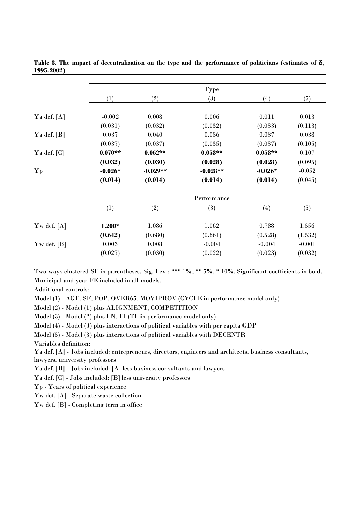|             |            | Type       |           |          |  |  |
|-------------|------------|------------|-----------|----------|--|--|
| (1)         | (2)        | (3)        | (4)       | (5)      |  |  |
| $-0.002$    | 0.008      | 0.006      | 0.011     | 0.013    |  |  |
| (0.031)     | (0.032)    | (0.032)    | (0.033)   | (0.113)  |  |  |
| 0.037       | 0.040      | 0.036      | 0.037     | 0.038    |  |  |
| (0.037)     | (0.037)    | (0.035)    | (0.037)   | (0.105)  |  |  |
| $0.070**$   | $0.062**$  | $0.058**$  | $0.058**$ | 0.107    |  |  |
| (0.032)     | (0.030)    | (0.028)    | (0.028)   | (0.095)  |  |  |
| $-0.026*$   | $-0.029**$ | $-0.028**$ | $-0.026*$ | $-0.052$ |  |  |
| (0.014)     | (0.014)    | (0.014)    | (0.014)   | (0.045)  |  |  |
| Performance |            |            |           |          |  |  |
| (1)         | (2)        | (3)        | (4)       | (5)      |  |  |
| $1.200*$    | 1.086      | 1.062      | 0.788     | 1.556    |  |  |
| (0.642)     | (0.680)    | (0.661)    | (0.528)   | (1.532)  |  |  |
| 0.003       | 0.008      | $-0.004$   | $-0.004$  | $-0.001$ |  |  |
| (0.027)     | (0.030)    | (0.022)    |           | (0.032)  |  |  |
|             |            |            |           | (0.023)  |  |  |

**Table 3. The impact of decentralization on the type and the performance of politicians (estimates of** δ**, 1995-2002)** 

Two-ways clustered SE in parentheses. Sig. Lev.: \*\*\* 1%, \*\* 5%, \* 10%. Significant coefficients in bold. Municipal and year FE included in all models.

Additional controls:

Model (1) - AGE, SF, POP, OVER65, MOVIPROV (CYCLE in performance model only)

Model (2) - Model (1) plus ALIGNMENT, COMPETITION

Model (3) - Model (2) plus LN, FI (TL in performance model only)

Model (4) - Model (3) plus interactions of political variables with per capita GDP

Model (5) - Model (3) plus interactions of political variables with DECENTR

Variables definition:

Ya def. [A] - Jobs included: entrepreneurs, directors, engineers and architects, business consultants, lawyers, university professors

Ya def. [B] - Jobs included: [A] less business consultants and lawyers

Ya def. [C] - Jobs included: [B] less university professors

Yp - Years of political experience

Yw def. [A] - Separate waste collection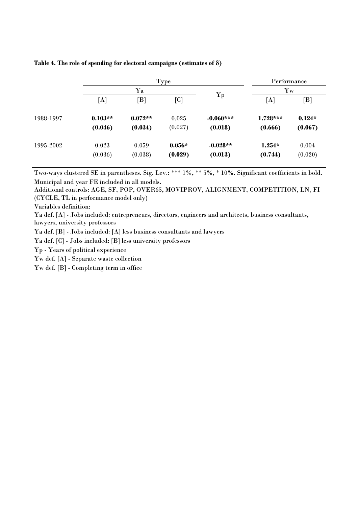|           |                      | Type                 | Performance<br>$\mathbf{Y}\mathbf{w}$ |                        |                       |                     |
|-----------|----------------------|----------------------|---------------------------------------|------------------------|-----------------------|---------------------|
|           | Ya                   |                      |                                       |                        |                       |                     |
|           | $\bf{[A]}$           | $\mathbb{B}$         | $\overline{C}$                        | Yp                     | $\bf{A}$              | B                   |
| 1988-1997 | $0.103**$<br>(0.046) | $0.072**$<br>(0.034) | 0.025<br>(0.027)                      | $-0.060***$<br>(0.018) | $1.728***$<br>(0.666) | $0.124*$<br>(0.067) |
| 1995-2002 | 0.023<br>(0.036)     | 0.059<br>(0.038)     | $0.056*$<br>(0.029)                   | $-0.028**$<br>(0.013)  | $1.254*$<br>(0.744)   | 0.004<br>(0.020)    |

## **Table 4. The role of spending for electoral campaigns (estimates of** δ**)**

Two-ways clustered SE in parentheses. Sig. Lev.: \*\*\* 1%, \*\* 5%, \* 10%. Significant coefficients in bold. Municipal and year FE included in all models.

Additional controls: AGE, SF, POP, OVER65, MOVIPROV, ALIGNMENT, COMPETITION, LN, FI (CYCLE, TL in performance model only)

Variables definition:

Ya def. [A] - Jobs included: entrepreneurs, directors, engineers and architects, business consultants, lawyers, university professors

Ya def. [B] - Jobs included: [A] less business consultants and lawyers

Ya def. [C] - Jobs included: [B] less university professors

Yp - Years of political experience

Yw def. [A] - Separate waste collection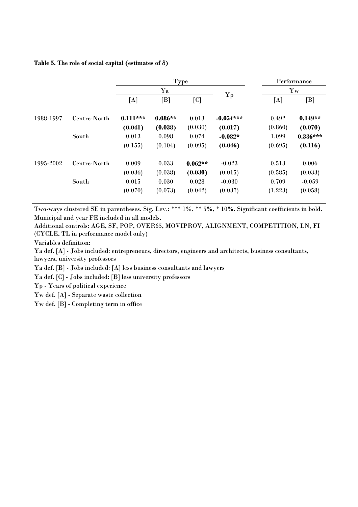## **Table 5. The role of social capital (estimates of** δ**)**

|           |              | Type           |                |           |             | Performance |                            |  |
|-----------|--------------|----------------|----------------|-----------|-------------|-------------|----------------------------|--|
|           |              |                | Ya             |           |             |             | $\mathbf{Y}\mathbf{w}$     |  |
|           |              | $[\mathrm{A}]$ | $\mathsf{[B]}$ | [C]       | ${\bf Yp}$  | [A]         | $\lceil \mathrm{B} \rceil$ |  |
| 1988-1997 | Centre-North | $0.111***$     | $0.086**$      | 0.013     | $-0.054***$ | 0.492       | $0.149**$                  |  |
|           |              | (0.041)        | (0.038)        | (0.030)   | (0.017)     | (0.860)     | (0.070)                    |  |
|           | South        | 0.013          | 0.098          | 0.074     | $-0.082*$   | 1.099       | $0.336***$                 |  |
|           |              | (0.155)        | (0.104)        | (0.095)   | (0.046)     | (0.695)     | (0.116)                    |  |
| 1995-2002 | Centre-North | 0.009          | 0.033          | $0.062**$ | $-0.023$    | 0.513       | 0.006                      |  |
|           |              | (0.036)        | (0.038)        | (0.030)   | (0.015)     | (0.585)     | (0.033)                    |  |
|           | South        | 0.015          | 0.030          | 0.028     | $-0.030$    | 0.709       | $-0.059$                   |  |
|           |              | (0.070)        | (0.073)        | (0.042)   | (0.037)     | (1.223)     | (0.058)                    |  |

Two-ways clustered SE in parentheses. Sig. Lev.: \*\*\* 1%, \*\* 5%, \* 10%. Significant coefficients in bold. Municipal and year FE included in all models.

Additional controls: AGE, SF, POP, OVER65, MOVIPROV, ALIGNMENT, COMPETITION, LN, FI (CYCLE, TL in performance model only)

Variables definition:

Ya def. [A] - Jobs included: entrepreneurs, directors, engineers and architects, business consultants, lawyers, university professors

Ya def. [B] - Jobs included: [A] less business consultants and lawyers

Ya def. [C] - Jobs included: [B] less university professors

Yp - Years of political experience

Yw def. [A] - Separate waste collection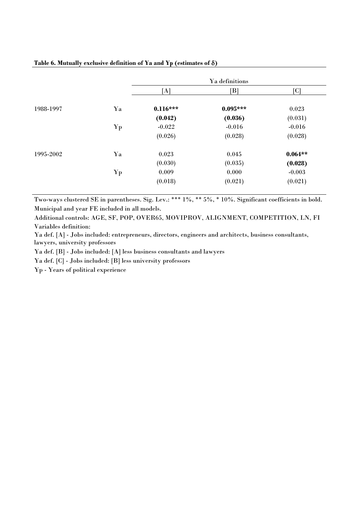# **Table 6. Mutually exclusive definition of Ya and Yp (estimates of** δ**)**

|           |                        |            | Ya definitions |                         |
|-----------|------------------------|------------|----------------|-------------------------|
|           |                        | [A]        | $\mathsf{[B]}$ | $\overline{\text{[C]}}$ |
| 1988-1997 | Ya                     | $0.116***$ | $0.095***$     | 0.023                   |
|           |                        | (0.042)    | (0.036)        | (0.031)                 |
|           | ${\bf Yp}$             | $-0.022$   | $-0.016$       | $-0.016$                |
|           |                        | (0.026)    | (0.028)        | (0.028)                 |
| 1995-2002 | Ya                     | 0.023      | 0.045          | $0.064**$               |
|           |                        | (0.030)    | (0.035)        | (0.028)                 |
|           | $\mathbf{Y}\mathbf{p}$ | 0.009      | 0.000          | $-0.003$                |
|           |                        | (0.018)    | (0.021)        | (0.021)                 |

Two-ways clustered SE in parentheses. Sig. Lev.: \*\*\* 1%, \*\* 5%, \* 10%. Significant coefficients in bold. Municipal and year FE included in all models.

Additional controls: AGE, SF, POP, OVER65, MOVIPROV, ALIGNMENT, COMPETITION, LN, FI Variables definition:

Ya def. [A] - Jobs included: entrepreneurs, directors, engineers and architects, business consultants, lawyers, university professors

Ya def. [B] - Jobs included: [A] less business consultants and lawyers

Ya def. [C] - Jobs included: [B] less university professors

Yp - Years of political experience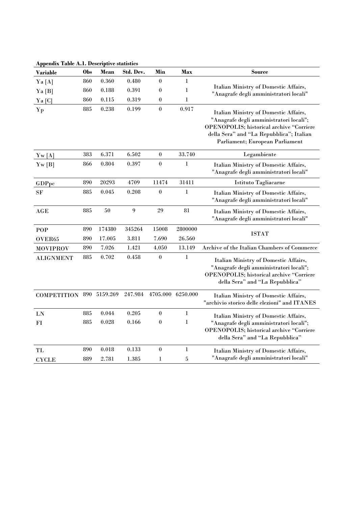| <b>Variable</b>                      | Obs | Mean   | Std. Dev. | Min              | Max               | <b>Source</b>                                                                                                                                                                                                      |
|--------------------------------------|-----|--------|-----------|------------------|-------------------|--------------------------------------------------------------------------------------------------------------------------------------------------------------------------------------------------------------------|
| Ya [A]                               | 860 | 0.360  | 0.480     | $\boldsymbol{0}$ | 1                 |                                                                                                                                                                                                                    |
| Ya [B]                               | 860 | 0.188  | 0.391     | $\boldsymbol{0}$ | $\bf{l}$          | Italian Ministry of Domestic Affairs,<br>"Anagrafe degli amministratori locali"                                                                                                                                    |
| Ya [C]                               | 860 | 0.115  | 0.319     | $\boldsymbol{0}$ | $\bf{l}$          |                                                                                                                                                                                                                    |
| Yp                                   | 885 | 0.238  | 0.199     | $\boldsymbol{0}$ | 0.917             | Italian Ministry of Domestic Affairs,<br>"Anagrafe degli amministratori locali";<br><b>OPENOPOLIS; historical archive "Corriere</b><br>della Sera" and "La Repubblica"; Italian<br>Parliament; European Parliament |
| $\mathrm{Yw}\left[\mathrm{A}\right]$ | 383 | 6.371  | $6.502\,$ | $\boldsymbol{0}$ | 33.740            | Legambiente                                                                                                                                                                                                        |
| $\text{Yw}$ [B]                      | 866 | 0.804  | 0.397     | $\boldsymbol{0}$ | $\bf{l}$          | Italian Ministry of Domestic Affairs,<br>"Anagrafe degli amministratori locali"                                                                                                                                    |
| GDPpc                                | 890 | 20293  | 4709      | 11474            | 31411             | Istituto Tagliacarne                                                                                                                                                                                               |
| $\rm{SF}$                            | 885 | 0.045  | 0.208     | $\boldsymbol{0}$ | 1                 | Italian Ministry of Domestic Affairs,<br>"Anagrafe degli amministratori locali"                                                                                                                                    |
| AGE                                  | 885 | 50     | 9         | 29               | 81                | Italian Ministry of Domestic Affairs,<br>"Anagrafe degli amministratori locali"                                                                                                                                    |
| POP                                  | 890 | 174380 | 345264    | 15008            | 2800000           | <b>ISTAT</b>                                                                                                                                                                                                       |
| OVER65                               | 890 | 17.005 | 3.811     | 7.690            | 26.560            |                                                                                                                                                                                                                    |
| <b>MOVIPROV</b>                      | 890 | 7.026  | 1.421     | 4.050            | 13.149            | Archive of the Italian Chambers of Commerce                                                                                                                                                                        |
| <b>ALIGNMENT</b>                     | 885 | 0.702  | 0.458     | $\boldsymbol{0}$ | 1                 | Italian Ministry of Domestic Affairs,<br>"Anagrafe degli amministratori locali";<br>OPENOPOLIS; historical archive "Corriere<br>della Sera" and "La Repubblica"                                                    |
| COMPETITION 890 5159.269             |     |        | 247.984   |                  | 4705.000 6250.000 | Italian Ministry of Domestic Affairs,<br>"archivio storico delle elezioni" and ITANES                                                                                                                              |
| LN                                   | 885 | 0.044  | 0.205     | $\boldsymbol{0}$ | $\bf{l}$          | Italian Ministry of Domestic Affairs,                                                                                                                                                                              |
| $FI$                                 | 885 | 0.028  | 0.166     | $\boldsymbol{0}$ | $\bf{l}$          | "Anagrafe degli amministratori locali";<br><b>OPENOPOLIS</b> ; historical archive "Corriere<br>della Sera" and "La Repubblica"                                                                                     |
| TL                                   | 890 | 0.018  | 0.133     | $\boldsymbol{0}$ | $\bf{l}$          | Italian Ministry of Domestic Affairs,                                                                                                                                                                              |
| <b>CYCLE</b>                         | 889 | 2.781  | 1.385     | 1                | 5                 | "Anagrafe degli amministratori locali"                                                                                                                                                                             |

**Appendix Table A.1. Descriptive statistics**